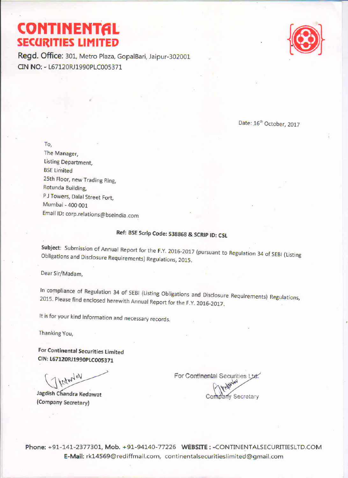# **CONTINENTAL SECURITIES LIMITED**

Regd. Office: 301, Metro Plaza, GopalBari, Jaipur-302001 CIN NO: - L67120RJ1990PLC005371



Date: 16<sup>th</sup> October, 2017

To,

The Manager, **Listing Department, BSE Limited** 25th Floor, new Trading Ring, Rotunda Building, P J Towers, Dalal Street Fort, Mumbai - 400 001 Email ID: corp.relations@bseindia.com

### Ref: BSE Scrip Code: 538868 & SCRIP ID: CSL

Subject: Submission of Annual Report for the F.Y. 2016-2017 (pursuant to Regulation 34 of SEBI (Listing Obligations and Disclosure Requirements) Regulations, 2015.

Dear Sir/Madam,

In compliance of Regulation 34 of SEBI (Listing Obligations and Disclosure Requirements) Regulations, 2015. Please find enclosed herewith Annual Report for the F.Y. 2016-2017.

It is for your kind information and necessary records.

Thanking You,

For Continental Securities Limited CIN: L67120RJ1990PLC005371

cdwlay

Jagdish Chandra Kedawat (Company Secretary)

For Continental Securities Ltd. dany Secretary

Phone: +91-141-2377301, Mob. +91-94140-77226 WEBSITE: -CONTINENTALSECURITIESLTD.COM E-Mail: rk14569@rediffmail.com, continentalsecuritieslimited@gmail.com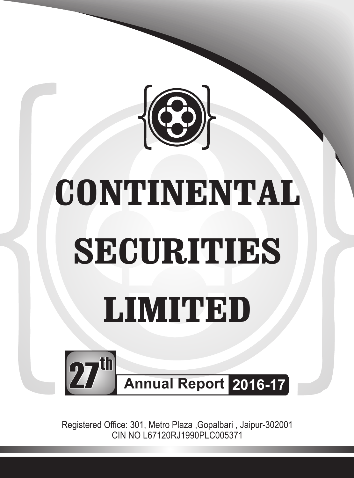

# **CONTINENTAL SECURITIES LIMITED**



Registered Office: 301, Metro Plaza ,Gopalbari , Jaipur-302001 CIN NO L67120RJ1990PLC005371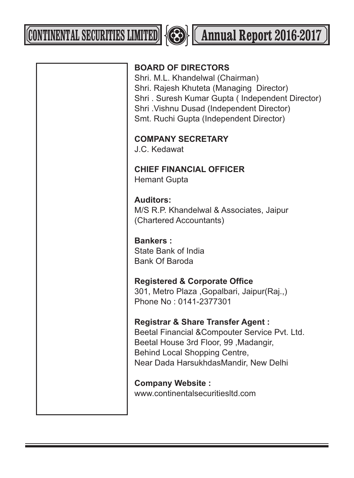**CONTINENTAL SECURITIES LIMITED 4 Annual Report 2016-2017** 



| <b>BOARD OF DIRECTORS</b><br>Shri. M.L. Khandelwal (Chairman)<br>Shri. Rajesh Khuteta (Managing Director)<br>Shri. Suresh Kumar Gupta (Independent Director)<br>Shri . Vishnu Dusad (Independent Director)<br>Smt. Ruchi Gupta (Independent Director) |
|-------------------------------------------------------------------------------------------------------------------------------------------------------------------------------------------------------------------------------------------------------|
| <b>COMPANY SECRETARY</b><br>J.C. Kedawat                                                                                                                                                                                                              |
| <b>CHIEF FINANCIAL OFFICER</b><br><b>Hemant Gupta</b>                                                                                                                                                                                                 |
| <b>Auditors:</b><br>M/S R.P. Khandelwal & Associates, Jaipur<br>(Chartered Accountants)                                                                                                                                                               |
| <b>Bankers:</b><br>State Bank of India<br><b>Bank Of Baroda</b>                                                                                                                                                                                       |
| <b>Registered &amp; Corporate Office</b><br>301, Metro Plaza, Gopalbari, Jaipur(Raj.,)<br>Phone No: 0141-2377301                                                                                                                                      |
| <b>Registrar &amp; Share Transfer Agent:</b><br>Beetal Financial & Compouter Service Pvt. Ltd.<br>Beetal House 3rd Floor, 99, Madangir,<br>Behind Local Shopping Centre,<br>Near Dada HarsukhdasMandir, New Delhi                                     |
| <b>Company Website:</b><br>www.continentalsecuritiesltd.com                                                                                                                                                                                           |
|                                                                                                                                                                                                                                                       |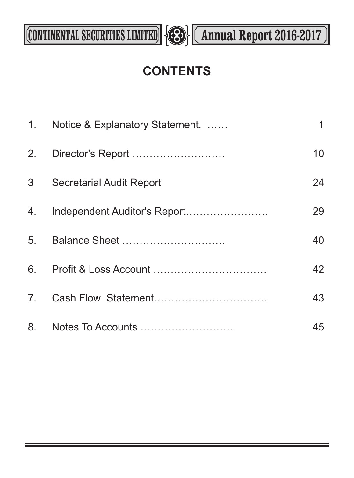

## **CONTENTS**

|                | 1. Notice & Explanatory Statement. | 1  |
|----------------|------------------------------------|----|
|                |                                    | 10 |
| 3 <sup>7</sup> | <b>Secretarial Audit Report</b>    | 24 |
|                |                                    | 29 |
|                |                                    | 40 |
|                |                                    | 42 |
|                |                                    | 43 |
|                |                                    | 45 |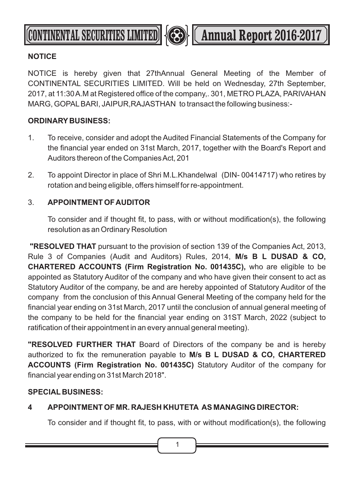

### **NOTICE**

NOTICE is hereby given that 27thAnnual General Meeting of the Member of CONTINENTAL SECURITIES LIMITED. Will be held on Wednesday, 27th September, 2017, at 11:30 A.M at Registered office of the company,. 301, METRO PLAZA, PARIVAHAN MARG, GOPALBARI, JAIPUR,RAJASTHAN to transact the following business:-

### **ORDINARY BUSINESS:**

- 1. To receive, consider and adopt the Audited Financial Statements of the Company for the financial year ended on 31st March, 2017, together with the Board's Report and Auditors thereon of the Companies Act, 201
- 2. To appoint Director in place of Shri M.L.Khandelwal (DIN- 00414717) who retires by rotation and being eligible, offers himself for re-appointment.

### 3. **APPOINTMENT OF AUDITOR**

To consider and if thought fit, to pass, with or without modification(s), the following resolution as an Ordinary Resolution

**"RESOLVED THAT** pursuant to the provision of section 139 of the Companies Act, 2013, Rule 3 of Companies (Audit and Auditors) Rules, 2014, **M/s B L DUSAD & CO, CHARTERED ACCOUNTS (Firm Registration No. 001435C),** who are eligible to be appointed as Statutory Auditor of the company and who have given their consent to act as Statutory Auditor of the company, be and are hereby appointed of Statutory Auditor of the company from the conclusion of this Annual General Meeting of the company held for the financial year ending on 31st March, 2017 until the conclusion of annual general meeting of the company to be held for the financial year ending on 31ST March, 2022 (subject to ratification of their appointment in an every annual general meeting).

**"RESOLVED FURTHER THAT** Board of Directors of the company be and is hereby authorized to fix the remuneration payable to **M/s B L DUSAD & CO, CHARTERED ACCOUNTS (Firm Registration No. 001435C)** Statutory Auditor of the company for financial year ending on 31st March 2018".

### **SPECIAL BUSINESS:**

### **4 APPOINTMENT OF MR. RAJESH KHUTETA AS MANAGING DIRECTOR:**

To consider and if thought fit, to pass, with or without modification(s), the following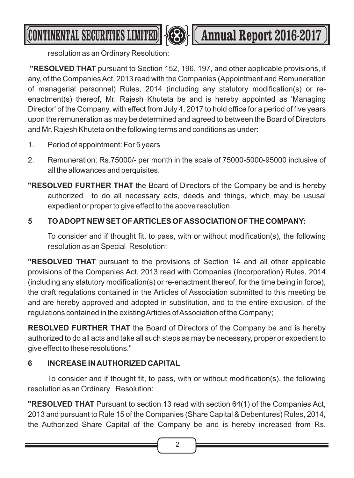

**CONTINENTAL SECURITIES LIMITED <b>Annual Report 2016-2017** 

resolution as an Ordinary Resolution:

**"RESOLVED THAT** pursuant to Section 152, 196, 197, and other applicable provisions, if any, of the Companies Act, 2013 read with the Companies (Appointment and Remuneration of managerial personnel) Rules, 2014 (including any statutory modification(s) or reenactment(s) thereof, Mr. Rajesh Khuteta be and is hereby appointed as 'Managing Director' of the Company, with effect from July 4, 2017 to hold office for a period of five years upon the remuneration as may be determined and agreed to between the Board of Directors and Mr. Rajesh Khuteta on the following terms and conditions as under:

- 1. Period of appointment: For 5 years
- 2. Remuneration: Rs.75000/- per month in the scale of 75000-5000-95000 inclusive of all the allowances and perquisites.
- **"RESOLVED FURTHER THAT** the Board of Directors of the Company be and is hereby authorized to do all necessary acts, deeds and things, which may be ususal expedient or proper to give effect to the above resolution

### **5 TO ADOPT NEW SET OF ARTICLES OF ASSOCIATION OF THE COMPANY:**

To consider and if thought fit, to pass, with or without modification(s), the following resolution as an Special Resolution:

**"RESOLVED THAT** pursuant to the provisions of Section 14 and all other applicable provisions of the Companies Act, 2013 read with Companies (Incorporation) Rules, 2014 (including any statutory modification(s) or re-enactment thereof, for the time being in force), the draft regulations contained in the Articles of Association submitted to this meeting be and are hereby approved and adopted in substitution, and to the entire exclusion, of the regulations contained in the existing Articles of Association of the Company;

**RESOLVED FURTHER THAT** the Board of Directors of the Company be and is hereby authorized to do all acts and take all such steps as may be necessary, proper or expedient to give effect to these resolutions."

### **6 INCREASE IN AUTHORIZED CAPITAL**

To consider and if thought fit, to pass, with or without modification(s), the following resolution as an Ordinary Resolution:

**"RESOLVED THAT** Pursuant to section 13 read with section 64(1) of the Companies Act, 2013 and pursuant to Rule 15 of the Companies (Share Capital & Debentures) Rules, 2014, the Authorized Share Capital of the Company be and is hereby increased from Rs.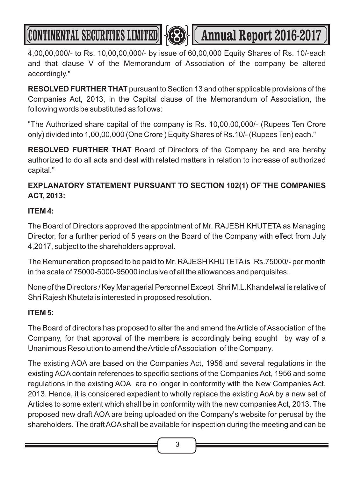**CONTINENTAL SECURITIES LIMITED <b>A Annual Report 2016-2017** 

4,00,00,000/- to Rs. 10,00,00,000/- by issue of 60,00,000 Equity Shares of Rs. 10/-each and that clause V of the Memorandum of Association of the company be altered accordingly."

**RESOLVED FURTHER THAT** pursuant to Section 13 and other applicable provisions of the Companies Act, 2013, in the Capital clause of the Memorandum of Association, the following words be substituted as follows:

"The Authorized share capital of the company is Rs. 10,00,00,000/- (Rupees Ten Crore only) divided into 1,00,00,000 (One Crore ) Equity Shares of Rs.10/- (Rupees Ten) each."

**RESOLVED FURTHER THAT** Board of Directors of the Company be and are hereby authorized to do all acts and deal with related matters in relation to increase of authorized capital."

### **EXPLANATORY STATEMENT PURSUANT TO SECTION 102(1) OF THE COMPANIES ACT, 2013:**

### **ITEM 4:**

The Board of Directors approved the appointment of Mr. RAJESH KHUTETA as Managing Director, for a further period of 5 years on the Board of the Company with effect from July 4,2017, subject to the shareholders approval.

The Remuneration proposed to be paid to Mr. RAJESH KHUTETAis Rs.75000/- per month in the scale of 75000-5000-95000 inclusive of all the allowances and perquisites.

None of the Directors / Key Managerial Personnel Except Shri M.L.Khandelwal is relative of Shri Rajesh Khuteta is interested in proposed resolution.

### **ITEM 5:**

The Board of directors has proposed to alter the and amend the Article of Association of the Company, for that approval of the members is accordingly being sought by way of a Unanimous Resolution to amend the Article of Association of the Company.

The existing AOA are based on the Companies Act, 1956 and several regulations in the existing AOAcontain references to specific sections of the Companies Act, 1956 and some regulations in the existing AOA are no longer in conformity with the New Companies Act, 2013. Hence, it is considered expedient to wholly replace the existing AoA by a new set of Articles to some extent which shall be in conformity with the new companies Act, 2013. The proposed new draft AOA are being uploaded on the Company's website for perusal by the shareholders. The draft AOAshall be available for inspection during the meeting and can be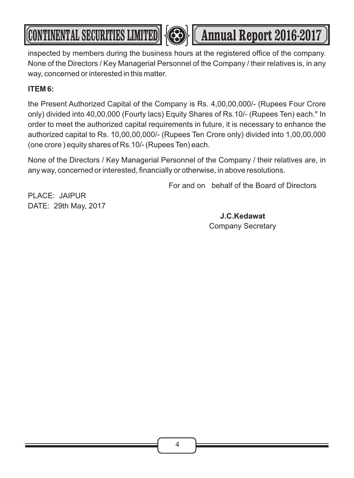inspected by members during the business hours at the registered office of the company. None of the Directors / Key Managerial Personnel of the Company / their relatives is, in any way, concerned or interested in this matter.

**CONTINENTAL SECURITIES LIMITED 433 (Annual Report 2016-2017** 

### **ITEM 6:**

the Present Authorized Capital of the Company is Rs. 4,00,00,000/- (Rupees Four Crore only) divided into 40,00,000 (Fourty lacs) Equity Shares of Rs.10/- (Rupees Ten) each." In order to meet the authorized capital requirements in future, it is necessary to enhance the authorized capital to Rs. 10,00,00,000/- (Rupees Ten Crore only) divided into 1,00,00,000 (one crore ) equity shares of Rs.10/- (Rupees Ten) each.

None of the Directors / Key Managerial Personnel of the Company / their relatives are, in any way, concerned or interested, financially or otherwise, in above resolutions.

For and on behalf of the Board of Directors

PLACE: JAIPUR DATE: 29th May, 2017

> **J.C.Kedawat**  Company Secretary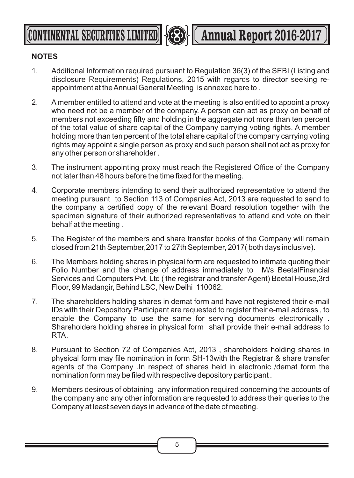**CONTINENTAL SECURITIES LIMITED | <b>Annual Report 2016-2017** 

### **NOTES**

- 1. Additional Information required pursuant to Regulation 36(3) of the SEBI (Listing and disclosure Requirements) Regulations, 2015 with regards to director seeking reappointment at the Annual General Meeting is annexed here to .
- 2. A member entitled to attend and vote at the meeting is also entitled to appoint a proxy who need not be a member of the company. A person can act as proxy on behalf of members not exceeding fifty and holding in the aggregate not more than ten percent of the total value of share capital of the Company carrying voting rights. A member holding more than ten percent of the total share capital of the company carrying voting rights may appoint a single person as proxy and such person shall not act as proxy for any other person or shareholder .
- 3. The instrument appointing proxy must reach the Registered Office of the Company not later than 48 hours before the time fixed for the meeting.
- 4. Corporate members intending to send their authorized representative to attend the meeting pursuant to Section 113 of Companies Act, 2013 are requested to send to the company a certified copy of the relevant Board resolution together with the specimen signature of their authorized representatives to attend and vote on their behalf at the meeting .
- 5. The Register of the members and share transfer books of the Company will remain closed from 21th September,2017 to 27th September, 2017( both days inclusive).
- 6. The Members holding shares in physical form are requested to intimate quoting their Folio Number and the change of address immediately to M/s BeetalFinancial Services and Computers Pvt. Ltd ( the registrar and transfer Agent) Beetal House,3rd Floor, 99 Madangir, Behind LSC, New Delhi 110062.
- 7. The shareholders holding shares in demat form and have not registered their e-mail IDs with their Depository Participant are requested to register their e-mail address , to enable the Company to use the same for serving documents electronically . Shareholders holding shares in physical form shall provide their e-mail address to RTA.
- 8. Pursuant to Section 72 of Companies Act, 2013 , shareholders holding shares in physical form may file nomination in form SH-13with the Registrar & share transfer agents of the Company .In respect of shares held in electronic /demat form the nomination form may be filed with respective depository participant .
- 9. Members desirous of obtaining any information required concerning the accounts of the company and any other information are requested to address their queries to the Company at least seven days in advance of the date of meeting.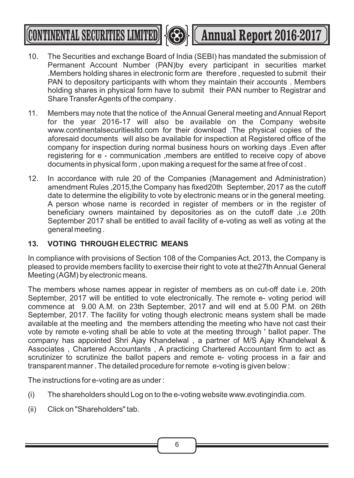

**CONTINENTAL SECURITIES LIMITED 43 (CONTINENTAL SECURITIES LIMITED 43 (CO) 4 Annual Report 2016-2017** 

- 10. The Securities and exchange Board of India (SEBI) has mandated the submission of Permanent Account Number (PAN)by every participant in securities market .Members holding shares in electronic form are therefore , requested to submit their PAN to depository participants with whom they maintain their accounts . Members holding shares in physical form have to submit their PAN number to Registrar and Share Transfer Agents of the company .
- 11. Members may note that the notice of the Annual General meeting and Annual Report for the year 2016-17 will also be available on the Company website www.continentalsecuritiesltd.com for their download .The physical copies of the aforesaid documents will also be available for inspection at Registered office of the company for inspection during normal business hours on working days .Even after registering for e - communication ,members are entitled to receive copy of above documents in physical form , upon making a request for the same at free of cost .
- 12. In accordance with rule 20 of the Companies (Management and Administration) amendment Rules ,2015,the Company has fixed20th September, 2017 as the cutoff date to determine the eligibility to vote by electronic means or in the general meeting. A person whose name is recorded in register of members or in the register of beneficiary owners maintained by depositories as on the cutoff date ,i.e 20th September 2017 shall be entitled to avail facility of e-voting as well as voting at the general meeting .

### **13. VOTING THROUGH ELECTRIC MEANS**

In compliance with provisions of Section 108 of the Companies Act, 2013, the Company is pleased to provide members facility to exercise their right to vote at the27th Annual General Meeting (AGM) by electronic means.

The members whose names appear in register of members as on cut-off date i.e. 20th September, 2017 will be entitled to vote electronically. The remote e- voting period will commence at 9.00 A.M. on 23th September, 2017 and will end at 5.00 P.M. on 26th September, 2017. The facility for voting though electronic means system shall be made available at the meeting and the members attending the meeting who have not cast their vote by remote e-voting shall be able to vote at the meeting through ' ballot paper. The company has appointed Shri Ajay Khandelwal , a partner of M/S Ajay Khandelwal & Associates , Chartered Accountants , A practicing Chartered Accountant firm to act as scrutinizer to scrutinize the ballot papers and remote e- voting process in a fair and transparent manner . The detailed procedure for remote e-voting is given below :

The instructions for e-voting are as under :

- (i) The shareholders should Log on to the e-voting website www.evotingindia.com.
- (ii) Click on "Shareholders" tab.

6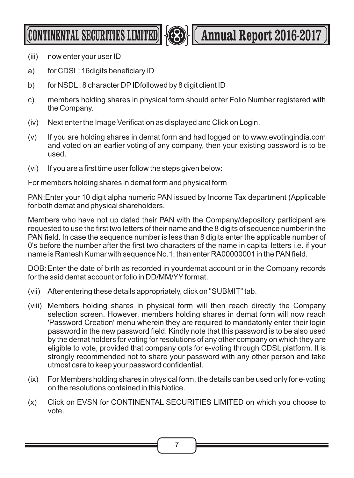

**CONTINENTAL SECURITIES LIMITED <b>Annual Report 2016-2017** 

- (iii) now enter your user ID
- a) for CDSL: 16digits beneficiary ID
- b) for NSDL: 8 character DPIDfollowed by 8 digit client ID
- c) members holding shares in physical form should enter Folio Number registered with the Company.
- (iv) Next enter the Image Verification as displayed and Click on Login.
- (v) If you are holding shares in demat form and had logged on to www.evotingindia.com and voted on an earlier voting of any company, then your existing password is to be used.
- (vi) If you are a first time user follow the steps given below:

For members holding shares in demat form and physical form

PAN:Enter your 10 digit alpha numeric PAN issued by Income Tax department (Applicable for both demat and physical shareholders.

Members who have not up dated their PAN with the Company/depository participant are requested to use the first two letters of their name and the 8 digits of sequence number in the PAN field. In case the sequence number is less than 8 digits enter the applicable number of 0's before the number after the first two characters of the name in capital letters i.e. if your name is Ramesh Kumar with sequence No.1, than enter RA00000001 in the PAN field.

DOB:Enter the date of birth as recorded in yourdemat account or in the Company records for the said demat account or folio in DD/MM/YYformat.

- (vii) After entering these details appropriately, click on "SUBMIT" tab.
- (viii) Members holding shares in physical form will then reach directly the Company selection screen. However, members holding shares in demat form will now reach 'Password Creation' menu wherein they are required to mandatorily enter their login password in the new password field. Kindly note that this password is to be also used by the demat holders for voting for resolutions of any other company on which they are eligible to vote, provided that company opts for e-voting through CDSL platform. It is strongly recommended not to share your password with any other person and take utmost care to keep your password confidential.
- (ix) For Members holding shares in physical form, the details can be used only for e-voting on the resolutions contained in this Notice.
- (x) Click on EVSN for CONTINENTAL SECURITIES LIMITED on which you choose to vote.

7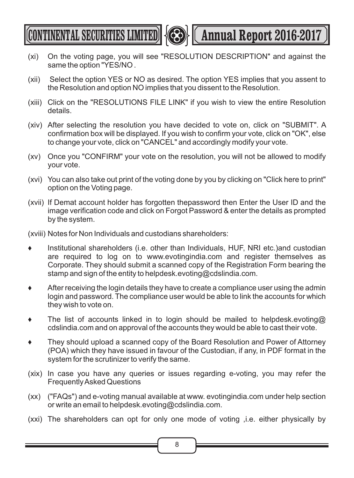

(CONTINENTAL SECURITIES LIMITED) **Annual Report 2016-2017** 

- (xi) On the voting page, you will see "RESOLUTION DESCRIPTION" and against the same the option "YES/NO .
- (xii) Select the option YES or NO as desired. The option YES implies that you assent to the Resolution and option NO implies that you dissent to the Resolution.
- (xiii) Click on the "RESOLUTIONS FILE LINK" if you wish to view the entire Resolution details.
- (xiv) After selecting the resolution you have decided to vote on, click on "SUBMIT". A confirmation box will be displayed. If you wish to confirm your vote, click on "OK", else to change your vote, click on "CANCEL" and accordingly modify your vote.
- (xv) Once you "CONFIRM" your vote on the resolution, you will not be allowed to modify your vote.
- (xvi) You can also take out print of the voting done by you by clicking on "Click here to print" option on the Voting page.
- (xvii) If Demat account holder has forgotten thepassword then Enter the User ID and the image verification code and click on Forgot Password & enter the details as prompted by the system.

(xviii) Notes for Non Individuals and custodians shareholders:

- ? Institutional shareholders (i.e. other than Individuals, HUF, NRI etc.)and custodian are required to log on to www.evotingindia.com and register themselves as Corporate. They should submit a scanned copy of the Registration Form bearing the stamp and sign of the entity to helpdesk.evoting@cdslindia.com.
- ? After receiving the login details they have to create a compliance user using the admin login and password. The compliance user would be able to link the accounts for which they wish to vote on.
- The list of accounts linked in to login should be mailed to helpdesk.evoting@ cdslindia.com and on approval of the accounts they would be able to cast their vote.
- They should upload a scanned copy of the Board Resolution and Power of Attorney (POA) which they have issued in favour of the Custodian, if any, in PDF format in the system for the scrutinizer to verify the same.
- (xix) In case you have any queries or issues regarding e-voting, you may refer the Frequently Asked Questions
- (xx) ("FAQs") and e-voting manual available at www. evotingindia.com under help section or write an email to helpdesk.evoting@cdslindia.com.
- (xxi) The shareholders can opt for only one mode of voting ,i.e. either physically by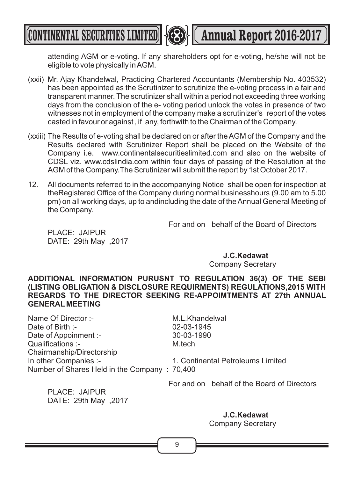attending AGM or e-voting. If any shareholders opt for e-voting, he/she will not be eligible to vote physically in AGM.

(xxii) Mr. Ajay Khandelwal, Practicing Chartered Accountants (Membership No. 403532) has been appointed as the Scrutinizer to scrutinize the e-voting process in a fair and transparent manner. The scrutinizer shall within a period not exceeding three working days from the conclusion of the e- voting period unlock the votes in presence of two witnesses not in employment of the company make a scrutinizer's report of the votes casted in favour or against , if any, forthwith to the Chairman of the Company.

**CONTINENTAL SECURITIES LIMITED <b>Annual Report 2016-2017** 

- (xxiii) The Results of e-voting shall be declared on or after the AGM of the Company and the Results declared with Scrutinizer Report shall be placed on the Website of the Company i.e. www.continentalsecuritieslimited.com and also on the website of CDSL viz. www.cdslindia.com within four days of passing of the Resolution at the AGM of the Company.The Scrutinizer will submit the report by 1st October 2017.
- 12. All documents referred to in the accompanying Notice shall be open for inspection at theRegistered Office of the Company during normal businesshours (9.00 am to 5.00 pm) on all working days, up to andincluding the date of the Annual General Meeting of the Company.

For and on behalf of the Board of Directors

PLACE: JAIPUR DATE: 29th May ,2017

**J.C.Kedawat** 

Company Secretary

**ADDITIONAL INFORMATION PURUSNT TO REGULATION 36(3) OF THE SEBI (LISTING OBLIGATION & DISCLOSURE REQUIRMENTS) REGULATIONS,2015 WITH REGARDS TO THE DIRECTOR SEEKING RE-APPOIMTMENTS AT 27th ANNUAL GENERAL MEETING**

| M.L.Khandelwal                               |
|----------------------------------------------|
| 02-03-1945                                   |
| 30-03-1990                                   |
| M.tech                                       |
|                                              |
| 1. Continental Petroleums Limited            |
| Number of Shares Held in the Company: 70,400 |
|                                              |

For and on behalf of the Board of Directors

PLACE: JAIPUR DATE: 29th May ,2017

> **J.C.Kedawat**  Company Secretary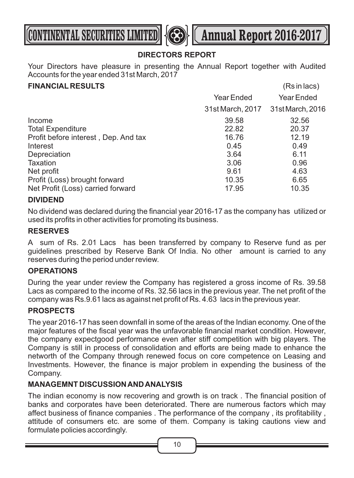



### **DIRECTORS REPORT**

Your Directors have pleasure in presenting the Annual Report together with Audited Accounts for the year ended 31st March, 2017

### **FINANCIAL RESULTS** (Rs in lacs)

|                                      |                  | .                |
|--------------------------------------|------------------|------------------|
|                                      | Year Ended       | Year Ended       |
|                                      | 31st March, 2017 | 31st March, 2016 |
| Income                               | 39.58            | 32.56            |
| <b>Total Expenditure</b>             | 22.82            | 20.37            |
| Profit before interest, Dep. And tax | 16.76            | 12.19            |
| Interest                             | 0.45             | 0.49             |
| Depreciation                         | 3.64             | 6.11             |
| Taxation                             | 3.06             | 0.96             |
| Net profit                           | 9.61             | 4.63             |
| Profit (Loss) brought forward        | 10.35            | 6.65             |
| Net Profit (Loss) carried forward    | 17.95            | 10.35            |
|                                      |                  |                  |

### **DIVIDEND**

No dividend was declared during the financial year 2016-17 as the company has utilized or used its profits in other activities for promoting its business.

### **RESERVES**

A sum of Rs. 2.01 Lacs has been transferred by company to Reserve fund as per guidelines prescribed by Reserve Bank Of India. No other amount is carried to any reserves during the period under review.

### **OPERATIONS**

During the year under review the Company has registered a gross income of Rs. 39.58 Lacs as compared to the income of Rs. 32.56 lacs in the previous year. The net profit of the company was Rs.9.61 lacs as against net profit of Rs. 4.63 lacs in the previous year.

### **PROSPECTS**

The year 2016-17 has seen downfall in some of the areas of the Indian economy. One of the major features of the fiscal year was the unfavorable financial market condition. However, the company expectgood performance even after stiff competition with big players. The Company is still in process of consolidation and efforts are being made to enhance the networth of the Company through renewed focus on core competence on Leasing and Investments. However, the finance is major problem in expending the business of the Company.

### **MANAGEMNT DISCUSSION AND ANALYSIS**

The indian economy is now recovering and growth is on track . The financial position of banks and corporates have been deteriorated. There are numerous factors which may affect business of finance companies . The performance of the company , its profitability , attitude of consumers etc. are some of them. Company is taking cautions view and formulate policies accordingly.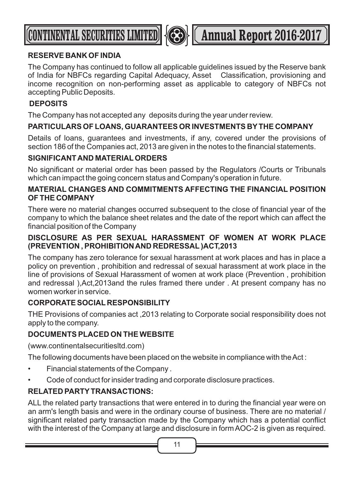



### **RESERVE BANK OF INDIA**

The Company has continued to follow all applicable guidelines issued by the Reserve bank of India for NBFCs regarding Capital Adequacy, Asset Classification, provisioning and income recognition on non-performing asset as applicable to category of NBFCs not accepting Public Deposits.

### **DEPOSITS**

The Company has not accepted any deposits during the year under review.

### **PARTICULARS OF LOANS, GUARANTEES OR INVESTMENTS BYTHE COMPANY**

Details of loans, guarantees and investments, if any, covered under the provisions of section 186 of the Companies act, 2013 are given in the notes to the financial statements.

### **SIGNIFICANT AND MATERIALORDERS**

No significant or material order has been passed by the Regulators /Courts or Tribunals which can impact the going concern status and Company's operation in future.

### **MATERIAL CHANGES AND COMMITMENTS AFFECTING THE FINANCIAL POSITION OF THE COMPANY**

There were no material changes occurred subsequent to the close of financial year of the company to which the balance sheet relates and the date of the report which can affect the financial position of the Company

### **DISCLOSURE AS PER SEXUAL HARASSMENT OF WOMEN AT WORK PLACE (PREVENTION , PROHIBITION AND REDRESSAL)ACT,2013**

The company has zero tolerance for sexual harassment at work places and has in place a policy on prevention , prohibition and redressal of sexual harassment at work place in the line of provisions of Sexual Harassment of women at work place (Prevention , prohibition and redressal ),Act,2013and the rules framed there under . At present company has no women worker in service.

### **CORPORATE SOCIAL RESPONSIBILITY**

THE Provisions of companies act ,2013 relating to Corporate social responsibility does not apply to the company.

### **DOCUMENTS PLACED ON THE WEBSITE**

(www.continentalsecuritiesltd.com)

The following documents have been placed on the website in compliance with the Act :

- Financial statements of the Company .
- Code of conduct for insider trading and corporate disclosure practices.

### **RELATED PARTYTRANSACTIONS:**

ALL the related party transactions that were entered in to during the financial year were on an arm's length basis and were in the ordinary course of business. There are no material / significant related party transaction made by the Company which has a potential conflict with the interest of the Company at large and disclosure in form AOC-2 is given as required.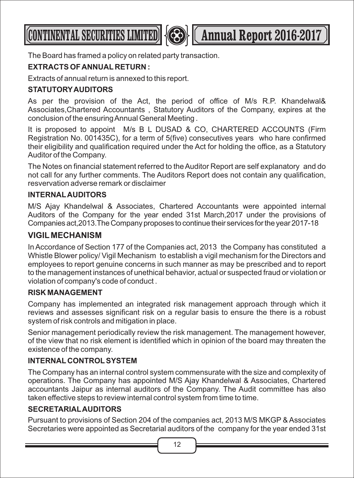**CONTINENTAL SECURITIES LIMITED <b>AND LESS** (Annual Report 2016-2017

The Board has framed a policy on related party transaction.

### **EXTRACTS OF ANNUAL RETURN :**

Extracts of annual return is annexed to this report.

### **STATUTORYAUDITORS**

As per the provision of the Act, the period of office of M/s R.P. Khandelwal& Associates,Chartered Accountants , Statutory Auditors of the Company, expires at the conclusion of the ensuring Annual General Meeting .

It is proposed to appoint M/s B L DUSAD & CO, CHARTERED ACCOUNTS (Firm Registration No. 001435C), for a term of 5(five) consecutives years who hare confirmed their eligibility and qualification required under the Act for holding the office, as a Statutory Auditor of the Company.

The Notes on financial statement referred to the Auditor Report are self explanatory and do not call for any further comments. The Auditors Report does not contain any qualification, resvervation adverse remark or disclaimer

### **INTERNALAUDITORS**

M/S Ajay Khandelwal & Associates, Chartered Accountants were appointed internal Auditors of the Company for the year ended 31st March,2017 under the provisions of Companies act, 2013. The Company proposes to continue their services for the year 2017-18

### **VIGIL MECHANISM**

In Accordance of Section 177 of the Companies act, 2013 the Company has constituted a Whistle Blower policy/ Vigil Mechanism to establish a vigil mechanism for the Directors and employees to report genuine concerns in such manner as may be prescribed and to report to the management instances of unethical behavior, actual or suspected fraud or violation or violation of company's code of conduct .

### **RISK MANAGEMENT**

Company has implemented an integrated risk management approach through which it reviews and assesses significant risk on a regular basis to ensure the there is a robust system of risk controls and mitigation in place.

Senior management periodically review the risk management. The management however, of the view that no risk element is identified which in opinion of the board may threaten the existence of the company.

### **INTERNAL CONTROLSYSTEM**

The Company has an internal control system commensurate with the size and complexity of operations. The Company has appointed M/S Ajay Khandelwal & Associates, Chartered accountants Jaipur as internal auditors of the Company. The Audit committee has also taken effective steps to review internal control system from time to time.

### **SECRETARIALAUDITORS**

Pursuant to provisions of Section 204 of the companies act, 2013 M/S MKGP & Associates Secretaries were appointed as Secretarial auditors of the company for the year ended 31st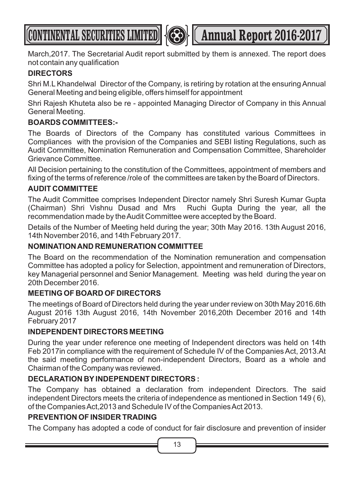



March,2017. The Secretarial Audit report submitted by them is annexed. The report does not contain any qualification

### **DIRECTORS**

Shri M.L Khandelwal Director of the Company, is retiring by rotation at the ensuring Annual General Meeting and being eligible, offers himself for appointment

Shri Rajesh Khuteta also be re - appointed Managing Director of Company in this Annual General Meeting.

### **BOARDS COMMITTEES:-**

The Boards of Directors of the Company has constituted various Committees in Compliances with the provision of the Companies and SEBI listing Regulations, such as Audit Committee, Nomination Remuneration and Compensation Committee, Shareholder Grievance Committee.

All Decision pertaining to the constitution of the Committees, appointment of members and fixing of the terms of reference /role of the committees are taken by the Board of Directors.

### **AUDIT COMMITTEE**

The Audit Committee comprises Independent Director namely Shri Suresh Kumar Gupta (Chairman) Shri Vishnu Dusad and Mrs Ruchi Gupta During the year, all the recommendation made by the Audit Committee were accepted by the Board.

Details of the Number of Meeting held during the year; 30th May 2016. 13th August 2016, 14th November 2016, and 14th February 2017.

### **NOMINATION AND REMUNERATION COMMITTEE**

The Board on the recommendation of the Nomination remuneration and compensation Committee has adopted a policy for Selection, appointment and remuneration of Directors, key Managerial personnel and Senior Management. Meeting was held during the year on 20th December 2016.

### **MEETING OF BOARD OF DIRECTORS**

The meetings of Board of Directors held during the year under review on 30th May 2016.6th August 2016 13th August 2016, 14th November 2016,20th December 2016 and 14th February 2017

### **INDEPENDENT DIRECTORS MEETING**

During the year under reference one meeting of Independent directors was held on 14th Feb 2017in compliance with the requirement of Schedule IV of the Companies Act, 2013.At the said meeting performance of non-independent Directors, Board as a whole and Chairman of the Company was reviewed.

### **DECLARATION BYINDEPENDENT DIRECTORS :**

The Company has obtained a declaration from independent Directors. The said independent Directors meets the criteria of independence as mentioned in Section 149 ( 6), of the Companies Act,2013 and Schedule IV of the Companies Act 2013.

### **PREVENTION OF INSIDER TRADING**

The Company has adopted a code of conduct for fair disclosure and prevention of insider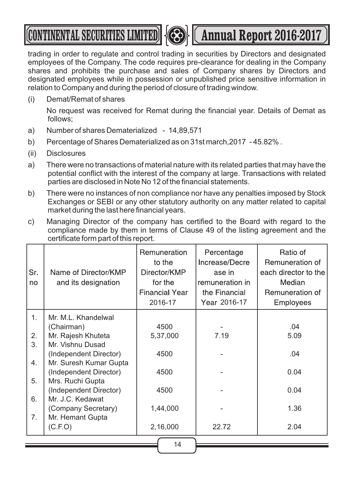# **CONTINENTAL SECURITIES LIMITED <b>Annual Report 2016-2017**



trading in order to regulate and control trading in securities by Directors and designated employees of the Company. The code requires pre-clearance for dealing in the Company shares and prohibits the purchase and sales of Company shares by Directors and designated employees while in possession or unpublished price sensitive information in relation to Company and during the period of closure of trading window.

(i) Demat/Remat of shares

No request was received for Remat during the financial year. Details of Demat as follows;

- a) Number of shares Dematerialized 14,89,571
- b) Percentage of Shares Dematerialized as on 31st march,2017 45.82% .
- (ii) Disclosures
- a) There were no transactions of material nature with its related parties that may have the potential conflict with the interest of the company at large. Transactions with related parties are disclosed in Note No 12 of the financial statements.
- b) There were no instances of non compliance nor have any penalties imposed by Stock Exchanges or SEBI or any other statutory authority on any matter related to capital market during the last here financial years.
- c) Managing Director of the company has certified to the Board with regard to the compliance made by them in terms of Clause 49 of the listing agreement and the certificate form part of this report.

| Sr.<br>no | Name of Director/KMP<br>and its designation | Remuneration<br>to the<br>Director/KMP<br>for the<br><b>Financial Year</b><br>2016-17 | Percentage<br>Increase/Decre<br>ase in<br>remuneration in<br>the Financial<br>Year 2016-17 | Ratio of<br>Remuneration of<br>each director to the<br>Median<br>Remuneration of<br><b>Employees</b> |
|-----------|---------------------------------------------|---------------------------------------------------------------------------------------|--------------------------------------------------------------------------------------------|------------------------------------------------------------------------------------------------------|
|           |                                             |                                                                                       |                                                                                            |                                                                                                      |
| 1.        | Mr. M.L. Khandelwal                         |                                                                                       |                                                                                            |                                                                                                      |
|           | (Chairman)                                  | 4500                                                                                  |                                                                                            | .04                                                                                                  |
| 2.        | Mr. Rajesh Khuteta                          | 5,37,000                                                                              | 7.19                                                                                       | 5.09                                                                                                 |
| 3.        | Mr. Vishnu Dusad                            |                                                                                       |                                                                                            |                                                                                                      |
|           | (Independent Director)                      | 4500                                                                                  |                                                                                            | .04                                                                                                  |
| 4.        | Mr. Suresh Kumar Gupta                      |                                                                                       |                                                                                            |                                                                                                      |
|           | (Independent Director)                      | 4500                                                                                  |                                                                                            | 0.04                                                                                                 |
| 5.        | Mrs. Ruchi Gupta                            |                                                                                       |                                                                                            |                                                                                                      |
|           | (Independent Director)                      | 4500                                                                                  |                                                                                            | 0.04                                                                                                 |
| 6.        | Mr. J.C. Kedawat                            |                                                                                       |                                                                                            |                                                                                                      |
|           | (Company Secretary)                         | 1,44,000                                                                              |                                                                                            | 1.36                                                                                                 |
| 7.        | Mr. Hemant Gupta                            |                                                                                       |                                                                                            |                                                                                                      |
|           | (C.F.O)                                     | 2,16,000                                                                              | 22.72                                                                                      | 2.04                                                                                                 |
|           |                                             | 14                                                                                    |                                                                                            |                                                                                                      |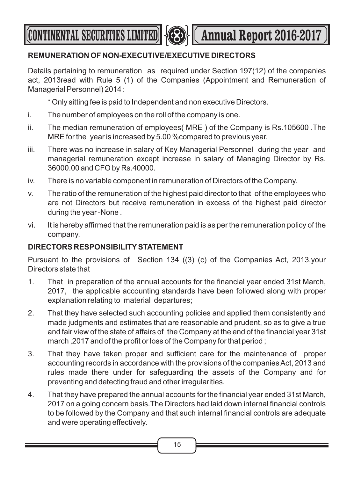**CONTINENTAL SECURITIES LIMITED <b>Annual Report 2016-2017** 



### **REMUNERATION OF NON-EXECUTIVE/EXECUTIVE DIRECTORS**

Details pertaining to remuneration as required under Section 197(12) of the companies act, 2013read with Rule 5 (1) of the Companies (Appointment and Remuneration of Managerial Personnel) 2014 :

\* Only sitting fee is paid to Independent and non executive Directors.

- i. The number of employees on the roll of the company is one.
- ii. The median remuneration of employees( MRE ) of the Company is Rs.105600 .The MRE for the year is increased by 5.00 %compared to previous year.
- iii. There was no increase in salary of Key Managerial Personnel during the year and managerial remuneration except increase in salary of Managing Director by Rs. 36000.00 and CFO by Rs.40000.
- iv. There is no variable component in remuneration of Directors of the Company.
- v. The ratio of the remuneration of the highest paid director to that of the employees who are not Directors but receive remuneration in excess of the highest paid director during the year -None .
- vi. It is hereby affirmed that the remuneration paid is as per the remuneration policy of the company.

### **DIRECTORS RESPONSIBILITYSTATEMENT**

Pursuant to the provisions of Section 134 ((3) (c) of the Companies Act, 2013,your Directors state that

- 1. That in preparation of the annual accounts for the financial year ended 31st March, 2017, the applicable accounting standards have been followed along with proper explanation relating to material departures;
- 2. That they have selected such accounting policies and applied them consistently and made judgments and estimates that are reasonable and prudent, so as to give a true and fair view of the state of affairs of the Company at the end of the financial year 31st march ,2017 and of the profit or loss of the Company for that period ;
- 3. That they have taken proper and sufficient care for the maintenance of proper accounting records in accordance with the provisions of the companies Act, 2013 and rules made there under for safeguarding the assets of the Company and for preventing and detecting fraud and other irregularities.
- 4. That they have prepared the annual accounts for the financial year ended 31st March, 2017 on a going concern basis.The Directors had laid down internal financial controls to be followed by the Company and that such internal financial controls are adequate and were operating effectively.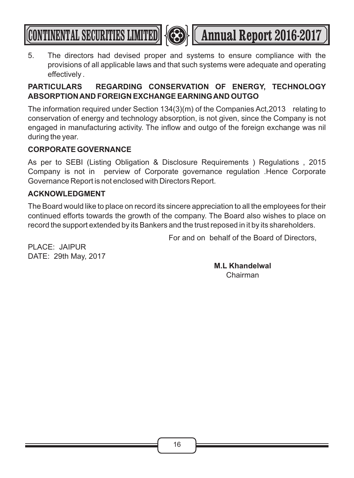

**CONTINENTAL SECURITIES LIMITED <b>AND LES** (Annual Report 2016-2017)

5. The directors had devised proper and systems to ensure compliance with the provisions of all applicable laws and that such systems were adequate and operating effectively .

### **PARTICULARS REGARDING CONSERVATION OF ENERGY, TECHNOLOGY ABSORPTION AND FOREIGN EXCHANGE EARNING AND OUTGO**

The information required under Section 134(3)(m) of the Companies Act,2013 relating to conservation of energy and technology absorption, is not given, since the Company is not engaged in manufacturing activity. The inflow and outgo of the foreign exchange was nil during the year.

### **CORPORATE GOVERNANCE**

As per to SEBI (Listing Obligation & Disclosure Requirements ) Regulations , 2015 Company is not in perview of Corporate governance regulation .Hence Corporate Governance Report is not enclosed with Directors Report.

### **ACKNOWLEDGMENT**

The Board would like to place on record its sincere appreciation to all the employees for their continued efforts towards the growth of the company. The Board also wishes to place on record the support extended by its Bankers and the trust reposed in it by its shareholders.

For and on behalf of the Board of Directors,

PLACE: JAIPUR DATE: 29th May, 2017

> **M.L Khandelwal**  Chairman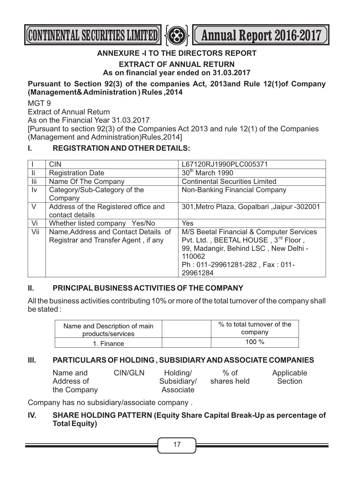



### **ANNEXURE -I TO THE DIRECTORS REPORT**

**EXTRACT OF ANNUAL RETURN**

**As on financial year ended on 31.03.2017**

### **Pursuant to Section 92(3) of the companies Act, 2013and Rule 12(1)of Company (Management& Administration ) Rules ,2014**

MGT 9

Extract of Annual Return

As on the Financial Year 31.03.2017

[Pursuant to section 92(3) of the Companies Act 2013 and rule 12(1) of the Companies (Management and Administration)Rules,2014]

### **I. REGISTRATION AND OTHER DETAILS:**

|        | <b>CIN</b>                           | L67120RJ1990PLC005371                       |
|--------|--------------------------------------|---------------------------------------------|
| -li    | <b>Registration Date</b>             | 30 <sup>th</sup> March 1990                 |
| lii    | Name Of The Company                  | <b>Continental Securities Limited</b>       |
| Iv     | Category/Sub-Category of the         | Non-Banking Financial Company               |
|        | Company                              |                                             |
| $\vee$ | Address of the Registered office and | 301, Metro Plaza, Gopalbari, Jaipur -302001 |
|        | contact details                      |                                             |
| Vi     | Whether listed company Yes/No        | Yes                                         |
| Vii    | Name, Address and Contact Details of | M/S Beetal Financial & Computer Services    |
|        | Registrar and Transfer Agent, if any | Pvt. Ltd., BEETAL HOUSE, 3rd Floor,         |
|        |                                      | 99, Madangir, Behind LSC, New Delhi -       |
|        |                                      | 110062                                      |
|        |                                      | Ph: 011-29961281-282, Fax: 011-             |
|        |                                      | 29961284                                    |

### **II. PRINCIPAL BUSINESS ACTIVITIES OF THE COMPANY**

All the business activities contributing 10% or more of the total turnover of the company shall be stated :

| Name and Description of main | % to total turnover of the |
|------------------------------|----------------------------|
| products/services            | company                    |
| 1. Finance                   | 100 $\%$                   |

### **III. PARTICULARS OF HOLDING , SUBSIDIARYAND ASSOCIATE COMPANIES**

| Name and    | CIN/GLN | Holding/    | $%$ of      | Applicable |
|-------------|---------|-------------|-------------|------------|
| Address of  |         | Subsidiary/ | shares held | Section    |
| the Company |         | Associate   |             |            |

Company has no subsidiary/associate company .

### **IV. SHARE HOLDING PATTERN (Equity Share Capital Break-Up as percentage of Total Equity)**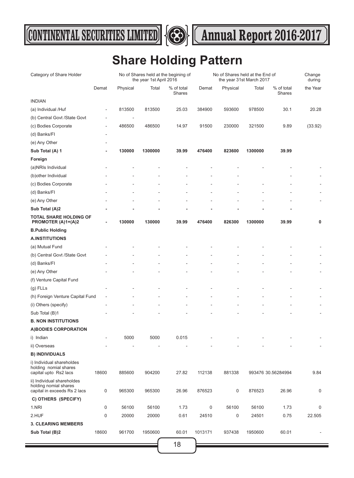



### **Share Holding Pattern**

| Category of Share Holder                                                            |                          |                          | the year 1st April 2016 | No of Shares held at the begining of | No of Shares held at the End of<br>the year 31st March 2017 |             |         |                      | Change<br>during |
|-------------------------------------------------------------------------------------|--------------------------|--------------------------|-------------------------|--------------------------------------|-------------------------------------------------------------|-------------|---------|----------------------|------------------|
|                                                                                     | Demat                    | Physical                 | Total                   | % of total<br>Shares                 | Demat                                                       | Physical    | Total   | % of total<br>Shares | the Year         |
| <b>INDIAN</b>                                                                       |                          |                          |                         |                                      |                                                             |             |         |                      |                  |
| (a) Individual /Huf                                                                 | $\overline{\phantom{0}}$ | 813500                   | 813500                  | 25.03                                | 384900                                                      | 593600      | 978500  | 30.1                 | 20.28            |
| (b) Central Govt /State Govt                                                        | $\overline{\phantom{a}}$ | $\overline{\phantom{a}}$ |                         |                                      |                                                             |             |         |                      |                  |
| (c) Bodies Corporate                                                                | $\overline{\phantom{a}}$ | 486500                   | 486500                  | 14.97                                | 91500                                                       | 230000      | 321500  | 9.89                 | (33.92)          |
| (d) Banks/FI                                                                        | $\overline{\phantom{a}}$ |                          |                         |                                      |                                                             |             |         |                      |                  |
| (e) Any Other                                                                       | $\overline{\phantom{a}}$ |                          |                         |                                      |                                                             |             |         |                      |                  |
| Sub Total (A) 1                                                                     | ٠                        | 130000                   | 1300000                 | 39.99                                | 476400                                                      | 823600      | 1300000 | 39.99                |                  |
| Foreign                                                                             |                          |                          |                         |                                      |                                                             |             |         |                      |                  |
| (a)NRIs Individual                                                                  |                          |                          |                         |                                      |                                                             |             |         |                      |                  |
| (b) other Individual                                                                |                          |                          |                         |                                      |                                                             |             |         |                      |                  |
| (c) Bodies Corporate                                                                |                          |                          |                         |                                      |                                                             |             |         |                      |                  |
| (d) Banks/FI                                                                        |                          |                          |                         |                                      |                                                             |             |         |                      |                  |
| (e) Any Other                                                                       |                          |                          |                         |                                      |                                                             |             |         |                      |                  |
| Sub Total (A)2                                                                      |                          |                          |                         |                                      |                                                             |             |         |                      |                  |
| <b>TOTAL SHARE HOLDING OF</b><br>PROMOTER (A)1+(A)2                                 | ä,                       | 130000                   | 130000                  | 39.99                                | 476400                                                      | 826300      | 1300000 | 39.99                | 0                |
| <b>B.Public Holding</b>                                                             |                          |                          |                         |                                      |                                                             |             |         |                      |                  |
| <b>A.INSTITUTIONS</b>                                                               |                          |                          |                         |                                      |                                                             |             |         |                      |                  |
| (a) Mutual Fund                                                                     |                          |                          |                         |                                      |                                                             |             |         |                      | $\overline{a}$   |
| (b) Central Govt /State Govt                                                        |                          |                          |                         |                                      |                                                             |             |         |                      | $\overline{a}$   |
| (d) Banks/FI                                                                        |                          |                          |                         |                                      |                                                             |             |         |                      | ÷,               |
| (e) Any Other                                                                       |                          |                          |                         |                                      |                                                             |             |         |                      | ÷,               |
| (f) Venture Capital Fund                                                            |                          |                          |                         |                                      |                                                             |             |         |                      |                  |
| $(g)$ FLLs                                                                          |                          |                          |                         |                                      |                                                             |             |         |                      | ÷,               |
| (h) Foreign Venture Capital Fund                                                    | $\overline{a}$           |                          |                         |                                      |                                                             |             |         |                      | $\overline{a}$   |
| (i) Others (specify)                                                                |                          |                          |                         |                                      |                                                             |             |         |                      | ÷,               |
| Sub Total (B)1                                                                      |                          |                          |                         |                                      |                                                             |             |         |                      | ÷,               |
| <b>B. NON INSTITUTIONS</b>                                                          |                          |                          |                         |                                      |                                                             |             |         |                      |                  |
| A) BODIES CORPORATION                                                               |                          |                          |                         |                                      |                                                             |             |         |                      |                  |
| i) Indian                                                                           |                          | 5000                     | 5000                    | 0.015                                |                                                             |             |         |                      |                  |
| ii) Overseas                                                                        |                          |                          | L                       |                                      |                                                             |             |         |                      |                  |
| <b>B) INDIVIDUALS</b>                                                               |                          |                          |                         |                                      |                                                             |             |         |                      |                  |
| i) Individual shareholdes<br>holding nomial shares<br>capital upto Rs2 lacs         | 18600                    | 885600                   | 904200                  | 27.82                                | 112138                                                      | 881338      |         | 993476 30.56284994   | 9.84             |
| ii) Individual shareholdes<br>holding nomial shares<br>capital in exceeds Rs 2 lacs | 0                        | 965300                   | 965300                  | 26.96                                | 876523                                                      | $\mathsf 0$ | 876523  | 26.96                | $\mathbf 0$      |
| C) OTHERS (SPECIFY)                                                                 |                          |                          |                         |                                      |                                                             |             |         |                      |                  |
| 1.NRI                                                                               | 0                        | 56100                    | 56100                   | 1.73                                 | 0                                                           | 56100       | 56100   | 1.73                 | $\mathbf 0$      |
| 2.HUF                                                                               | 0                        | 20000                    | 20000                   | 0.61                                 | 24510                                                       | 0           | 24501   | 0.75                 | 22.505           |
| <b>3. CLEARING MEMBERS</b>                                                          |                          |                          |                         |                                      |                                                             |             |         |                      |                  |
| Sub Total (B)2                                                                      | 18600                    | 961700                   | 1950600                 | 60.01                                | 1013171                                                     | 937438      | 1950600 | 60.01                |                  |
|                                                                                     |                          |                          |                         |                                      |                                                             |             |         |                      |                  |
|                                                                                     |                          |                          |                         | 18                                   |                                                             |             |         |                      |                  |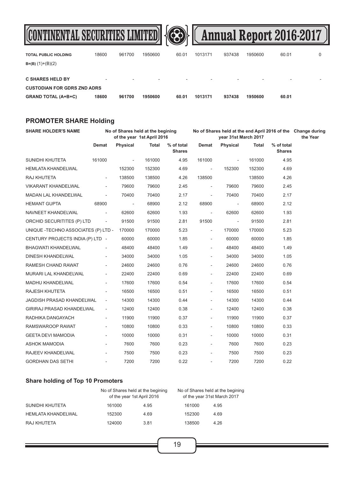



| <b>TOTAL PUBLIC HOLDING</b>        | 18600                    | 961700                   | 1950600                  | 60.01                    | 1013171                  | 937438 | 1950600 | 60.01                    | 0                        |
|------------------------------------|--------------------------|--------------------------|--------------------------|--------------------------|--------------------------|--------|---------|--------------------------|--------------------------|
| $B=(B) (1)+(B)(2)$                 |                          |                          |                          |                          |                          |        |         |                          |                          |
|                                    |                          |                          |                          |                          |                          |        |         |                          |                          |
| <b>C SHARES HELD BY</b>            | $\overline{\phantom{0}}$ | $\overline{\phantom{0}}$ | $\overline{\phantom{a}}$ | $\overline{\phantom{a}}$ | $\overline{\phantom{a}}$ | -      |         | $\overline{\phantom{0}}$ | $\overline{\phantom{a}}$ |
| <b>CUSTODIAN FOR GDRS ZND ADRS</b> |                          |                          |                          |                          |                          |        |         |                          |                          |
| <b>GRAND TOTAL (A+B+C)</b>         | 18600                    | 961700                   | 1950600                  | 60.01                    | 1013171                  | 937438 | 1950600 | 60.01                    |                          |

### **PROMOTER SHARE Holding**

| <b>SHARE HOLDER'S NAME</b>           | No of Shares held at the begining<br>of the year 1st April 2016 |                          |              |                             | No of Shares held at the end April 2016 of the Change during<br>year 31st March 2017 |                          |              |                             | the Year |
|--------------------------------------|-----------------------------------------------------------------|--------------------------|--------------|-----------------------------|--------------------------------------------------------------------------------------|--------------------------|--------------|-----------------------------|----------|
|                                      | Demat                                                           | Physical                 | <b>Total</b> | % of total<br><b>Shares</b> | Demat                                                                                | Physical                 | <b>Total</b> | % of total<br><b>Shares</b> |          |
| SUNIDHI KHUTETA                      | 161000                                                          | $\overline{\phantom{a}}$ | 161000       | 4.95                        | 161000                                                                               | $\overline{\phantom{a}}$ | 161000       | 4.95                        |          |
| <b>HEMLATA KHANDELWAL</b>            |                                                                 | 152300                   | 152300       | 4.69                        | $\sim$ $-$                                                                           | 152300                   | 152300       | 4.69                        |          |
| RAJ KHUTETA                          | $\blacksquare$                                                  | 138500                   | 138500       | 4.26                        | 138500                                                                               |                          | 138500       | 4.26                        |          |
| VIKARANT KHANDELWAL                  | $\blacksquare$                                                  | 79600                    | 79600        | 2.45                        | $\overline{\phantom{a}}$                                                             | 79600                    | 79600        | 2.45                        |          |
| <b>MADAN LAL KHANDELWAL</b>          |                                                                 | 70400                    | 70400        | 2.17                        | $\overline{\phantom{a}}$                                                             | 70400                    | 70400        | 2.17                        |          |
| <b>HEMANT GUPTA</b>                  | 68900                                                           | $\sim$                   | 68900        | 2.12                        | 68900                                                                                | $\overline{\phantom{a}}$ | 68900        | 2.12                        |          |
| NAVNEET KHANDELWAL                   | $\blacksquare$                                                  | 62600                    | 62600        | 1.93                        | $\overline{\phantom{a}}$                                                             | 62600                    | 62600        | 1.93                        |          |
| ORCHID SECURITITES (P) LTD           | $\sim$                                                          | 91500                    | 91500        | 2.81                        | 91500                                                                                | $\sim$                   | 91500        | 2.81                        |          |
| UNIQUE - TECHNO ASSOCIATES (P) LTD - |                                                                 | 170000                   | 170000       | 5.23                        | $\blacksquare$                                                                       | 170000                   | 170000       | 5.23                        |          |
| CENTURY PROJECTS INDIA (P) LTD -     |                                                                 | 60000                    | 60000        | 1.85                        | $\overline{\phantom{a}}$                                                             | 60000                    | 60000        | 1.85                        |          |
| <b>BHAGWATI KHANDELWAL</b>           |                                                                 | 48400                    | 48400        | 1.49                        | $\overline{\phantom{0}}$                                                             | 48400                    | 48400        | 1.49                        |          |
| <b>DINESH KHANDELWAL</b>             | $\overline{\phantom{0}}$                                        | 34000                    | 34000        | 1.05                        | $\blacksquare$                                                                       | 34000                    | 34000        | 1.05                        |          |
| RAMESH CHAND RAWAT                   | $\frac{1}{2}$                                                   | 24600                    | 24600        | 0.76                        | $\overline{\phantom{a}}$                                                             | 24600                    | 24600        | 0.76                        |          |
| MURARI LAL KHANDELWAL                | $\overline{\phantom{0}}$                                        | 22400                    | 22400        | 0.69                        | $\overline{\phantom{a}}$                                                             | 22400                    | 22400        | 0.69                        |          |
| <b>MADHU KHANDELWAL</b>              |                                                                 | 17600                    | 17600        | 0.54                        | $\overline{\phantom{a}}$                                                             | 17600                    | 17600        | 0.54                        |          |
| RAJESH KHUTETA                       | $\frac{1}{2}$                                                   | 16500                    | 16500        | 0.51                        | $\overline{\phantom{a}}$                                                             | 16500                    | 16500        | 0.51                        |          |
| JAGDISH PRASAD KHANDELWAL            | $\overline{\phantom{a}}$                                        | 14300                    | 14300        | 0.44                        | $\overline{\phantom{a}}$                                                             | 14300                    | 14300        | 0.44                        |          |
| GIRIRAJ PRASAD KHANDELWAL            | $\overline{\phantom{a}}$                                        | 12400                    | 12400        | 0.38                        | $\overline{\phantom{a}}$                                                             | 12400                    | 12400        | 0.38                        |          |
| RADHIKA DANGAYACH                    | $\overline{\phantom{a}}$                                        | 11900                    | 11900        | 0.37                        | $\overline{\phantom{a}}$                                                             | 11900                    | 11900        | 0.37                        |          |
| RAMSWAROOP RAWAT                     | $\overline{\phantom{0}}$                                        | 10800                    | 10800        | 0.33                        | $\overline{\phantom{a}}$                                                             | 10800                    | 10800        | 0.33                        |          |
| <b>GEETA DEVI MAMODIA</b>            | $\overline{\phantom{0}}$                                        | 10000                    | 10000        | 0.31                        | $\blacksquare$                                                                       | 10000                    | 10000        | 0.31                        |          |
| <b>ASHOK MAMODIA</b>                 | $\frac{1}{2}$                                                   | 7600                     | 7600         | 0.23                        | $\overline{\phantom{a}}$                                                             | 7600                     | 7600         | 0.23                        |          |
| RAJEEV KHANDELWAL                    | $\overline{a}$                                                  | 7500                     | 7500         | 0.23                        |                                                                                      | 7500                     | 7500         | 0.23                        |          |
| GORDHAN DAS SETHI                    |                                                                 | 7200                     | 7200         | 0.22                        | $\overline{\phantom{a}}$                                                             | 7200                     | 7200         | 0.22                        |          |

### **Share holding of Top 10 Promoters**

|                           |        | No of Shares held at the begining<br>of the year 1st April 2016 | No of Shares held at the begining<br>of the year 31st March 2017 |      |  |
|---------------------------|--------|-----------------------------------------------------------------|------------------------------------------------------------------|------|--|
| SUNIDHI KHUTETA           | 161000 | 4.95                                                            | 161000                                                           | 4.95 |  |
| <b>HEMLATA KHANDELWAL</b> | 152300 | 4.69                                                            | 152300                                                           | 4.69 |  |
| RAJ KHUTETA               | 124000 | 3.81                                                            | 138500                                                           | 4.26 |  |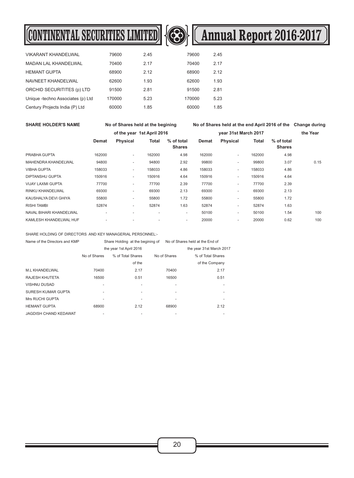# **CONTINENTAL SECURITIES LIMITED**  $\bigotimes$  **Annual Report 2016-2017**



| <b>VIKARANT KHANDELWAL</b>        | 79600  | 2.45 | 79600  | 2.45 |
|-----------------------------------|--------|------|--------|------|
| <b>MADAN LAL KHANDELWAL</b>       | 70400  | 2.17 | 70400  | 2.17 |
| <b>HEMANT GUPTA</b>               | 68900  | 2.12 | 68900  | 2.12 |
| NAVNEET KHANDELWAL                | 62600  | 1.93 | 62600  | 1.93 |
| ORCHID SECURITITES (p) LTD        | 91500  | 2.81 | 91500  | 2.81 |
| Unique -techno Associates (p) Ltd | 170000 | 5.23 | 170000 | 5.23 |
| Century Projects India (P) Ltd    | 60000  | 1.85 | 60000  | 1.85 |

**SHARE HOLDER'S NAME No of Shares held at the begining No of Shares held at the end April 2016 of the Change during**

|                          |        | of the year 1st April 2016 |        |                             |        | year 31st March 2017     |        |                             | the Year |  |
|--------------------------|--------|----------------------------|--------|-----------------------------|--------|--------------------------|--------|-----------------------------|----------|--|
|                          | Demat  | <b>Physical</b>            | Total  | % of total<br><b>Shares</b> | Demat  | Physical                 | Total  | % of total<br><b>Shares</b> |          |  |
| PRABHA GUPTA             | 162000 | $\overline{\phantom{a}}$   | 162000 | 4.98                        | 162000 | $\sim$                   | 162000 | 4.98                        |          |  |
| MAHENDRA KHANDELWAL      | 94800  | $\overline{\phantom{a}}$   | 94800  | 2.92                        | 99800  | $\sim$                   | 99800  | 3.07                        | 0.15     |  |
| <b>VIBHA GUPTA</b>       | 158033 | $\overline{\phantom{a}}$   | 158033 | 4.86                        | 158033 | $\sim$                   | 158033 | 4.86                        |          |  |
| <b>DIPTANSHU GUPTA</b>   | 150916 | ۰                          | 150916 | 4.64                        | 150916 | $\sim$                   | 150916 | 4.64                        |          |  |
| <b>VIJAY LAXMI GUPTA</b> | 77700  | $\overline{\phantom{a}}$   | 77700  | 2.39                        | 77700  | $\sim$                   | 77700  | 2.39                        |          |  |
| RINKU KHANDELWAL         | 69300  | $\overline{\phantom{a}}$   | 69300  | 2.13                        | 69300  | $\sim$                   | 69300  | 2.13                        |          |  |
| KAUSHALYA DEVI GHIYA     | 55800  | ٠                          | 55800  | 1.72                        | 55800  | $\sim$                   | 55800  | 1.72                        |          |  |
| RISHI TAMBI              | 52874  | ۰                          | 52874  | 1.63                        | 52874  | $\sim$                   | 52874  | 1.63                        |          |  |
| NAVAL BIHARI KHANDELWAL  |        |                            |        | $\overline{\phantom{a}}$    | 50100  | $\overline{\phantom{a}}$ | 50100  | 1.54                        | 100      |  |
| KAMLESH KHANDELWAL HUF   |        |                            |        | $\overline{\phantom{a}}$    | 20000  | $\overline{\phantom{a}}$ | 20000  | 0.62                        | 100      |  |

SHARE HOLDING OF DIRECTORS AND KEY MANAGERIAL PERSONNEL:-

| Name of the Directors and KMP | Share Holding at the begining of |                         |              | No of Shares held at the End of |
|-------------------------------|----------------------------------|-------------------------|--------------|---------------------------------|
|                               |                                  | the year 1st April 2016 |              | the year 31st March 2017        |
|                               | No of Shares                     | % of Total Shares       | No of Shares | % of Total Shares               |
|                               |                                  | of the                  |              | of the Company                  |
| <b>M.L KHANDELWAL</b>         | 70400                            | 2.17                    | 70400        | 2.17                            |
| RAJESH KHUTETA                | 16500                            | 0.51                    | 16500        | 0.51                            |
| <b>VISHNU DUSAD</b>           | ٠                                | ٠                       |              | ٠                               |
| SURESH KUMAR GUPTA            | ٠                                | ٠                       |              | ۰                               |
| Mrs RUCHI GUPTA               | ٠                                | ٠                       | ٠            | ۰                               |
| <b>HEMANT GUPTA</b>           | 68900                            | 2.12                    | 68900        | 2.12                            |
| JAGDISH CHAND KEDAWAT         |                                  |                         |              |                                 |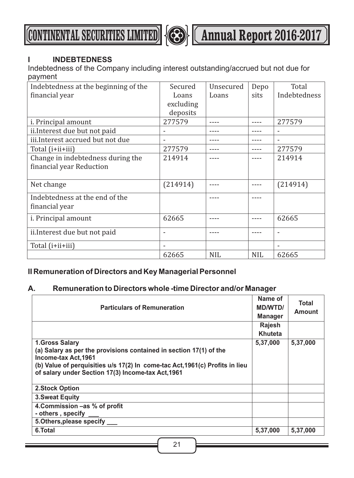**CONTINENTAL SECURITIES LIMITED <b>Annual Report 2016-2017** 



### **I INDEBTEDNESS**

Indebtedness of the Company including interest outstanding/accrued but not due for payment

| Indebtedness at the beginning of the | Secured                  | Unsecured  | Depo       | Total        |
|--------------------------------------|--------------------------|------------|------------|--------------|
| financial year                       | Loans                    | Loans      | sits       | Indebtedness |
|                                      | excluding                |            |            |              |
|                                      | deposits                 |            |            |              |
| <i>i.</i> Principal amount           | 277579                   |            |            | 277579       |
| ii. Interest due but not paid        | $\overline{\phantom{0}}$ |            |            |              |
| iii.Interest accrued but not due     | $\overline{\phantom{a}}$ |            |            |              |
| Total ( <i>i</i> +ii+iii)            | 277579                   |            |            | 277579       |
| Change in indebtedness during the    | 214914                   |            |            | 214914       |
| financial year Reduction             |                          |            |            |              |
|                                      |                          |            |            |              |
| Net change                           | (214914)                 |            |            | (214914)     |
| Indebtedness at the end of the       |                          |            |            |              |
| financial year                       |                          |            |            |              |
| i. Principal amount                  | 62665                    |            |            | 62665        |
| ii. Interest due but not paid        | ٠                        |            |            |              |
| Total ( <i>i</i> +ii+iii)            |                          |            |            |              |
|                                      | 62665                    | <b>NIL</b> | <b>NIL</b> | 62665        |

### **II Remuneration of Directors and Key Managerial Personnel**

### **A. Remuneration to Directors whole -time Director and/or Manager**

| <b>Particulars of Remuneration</b>                                                                                                 | Name of<br>MD/WTD/<br><b>Manager</b> | <b>Total</b><br><b>Amount</b> |
|------------------------------------------------------------------------------------------------------------------------------------|--------------------------------------|-------------------------------|
|                                                                                                                                    | Rajesh                               |                               |
|                                                                                                                                    | Khuteta                              |                               |
| <b>1.Gross Salary</b><br>(a) Salary as per the provisions contained in section 17(1) of the<br>Income-tax Act, 1961                | 5,37,000                             | 5,37,000                      |
| (b) Value of perquisities u/s 17(2) In come-tac Act, 1961(c) Profits in lieu<br>of salary under Section 17(3) Income-tax Act, 1961 |                                      |                               |
| <b>2.Stock Option</b>                                                                                                              |                                      |                               |
| <b>3. Sweat Equity</b>                                                                                                             |                                      |                               |
| 4. Commission –as % of profit                                                                                                      |                                      |                               |
| - others, specify                                                                                                                  |                                      |                               |
| 5. Others, please specify                                                                                                          |                                      |                               |
| 6.Total                                                                                                                            | 5,37,000                             | 5,37,000                      |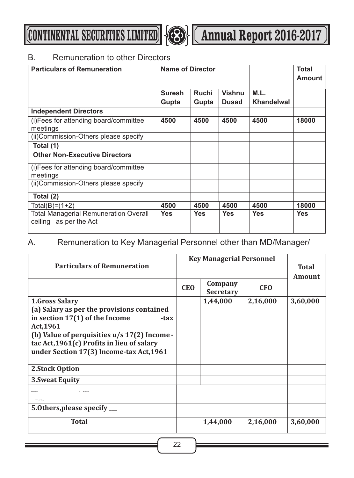

### B. Remuneration to other Directors

| <b>Particulars of Remuneration</b>                                     | <b>Name of Director</b> |                |                               |                           | <b>Total</b><br><b>Amount</b> |
|------------------------------------------------------------------------|-------------------------|----------------|-------------------------------|---------------------------|-------------------------------|
|                                                                        | <b>Suresh</b><br>Gupta  | Ruchi<br>Gupta | <b>Vishnu</b><br><b>Dusad</b> | M.L.<br><b>Khandelwal</b> |                               |
| <b>Independent Directors</b>                                           |                         |                |                               |                           |                               |
| (i) Fees for attending board/committee<br>meetings                     | 4500                    | 4500           | 4500                          | 4500                      | 18000                         |
| (ii) Commission-Others please specify                                  |                         |                |                               |                           |                               |
| Total (1)                                                              |                         |                |                               |                           |                               |
| <b>Other Non-Executive Directors</b>                                   |                         |                |                               |                           |                               |
| (i) Fees for attending board/committee<br>meetings                     |                         |                |                               |                           |                               |
| (ii)Commission-Others please specify                                   |                         |                |                               |                           |                               |
| Total (2)                                                              |                         |                |                               |                           |                               |
| Total(B)=(1+2)                                                         | 4500                    | 4500           | 4500                          | 4500                      | 18000                         |
| <b>Total Managerial Remuneration Overall</b><br>ceiling as per the Act | <b>Yes</b>              | <b>Yes</b>     | <b>Yes</b>                    | <b>Yes</b>                | <b>Yes</b>                    |

### A. Remuneration to Key Managerial Personnel other than MD/Manager/

| <b>Particulars of Remuneration</b>                                                           | <b>Key Managerial Personnel</b> |                             |            |                        |
|----------------------------------------------------------------------------------------------|---------------------------------|-----------------------------|------------|------------------------|
|                                                                                              |                                 |                             |            | <b>Total</b><br>Amount |
|                                                                                              | <b>CEO</b>                      | Company<br><b>Secretary</b> | <b>CFO</b> |                        |
| <b>1.Gross Salary</b>                                                                        |                                 | 1,44,000                    | 2,16,000   | 3,60,000               |
| (a) Salary as per the provisions contained                                                   |                                 |                             |            |                        |
| in section 17(1) of the Income<br>-tax                                                       |                                 |                             |            |                        |
| Act, 1961                                                                                    |                                 |                             |            |                        |
| (b) Value of perquisities $u/s$ 17(2) Income -<br>tac Act, 1961(c) Profits in lieu of salary |                                 |                             |            |                        |
| under Section 17(3) Income-tax Act, 1961                                                     |                                 |                             |            |                        |
|                                                                                              |                                 |                             |            |                        |
| 2.Stock Option                                                                               |                                 |                             |            |                        |
| <b>3. Sweat Equity</b>                                                                       |                                 |                             |            |                        |
|                                                                                              |                                 |                             |            |                        |
|                                                                                              |                                 |                             |            |                        |
| 5.0thers, please specify __                                                                  |                                 |                             |            |                        |
| Total                                                                                        |                                 | 1,44,000                    | 2,16,000   | 3,60,000               |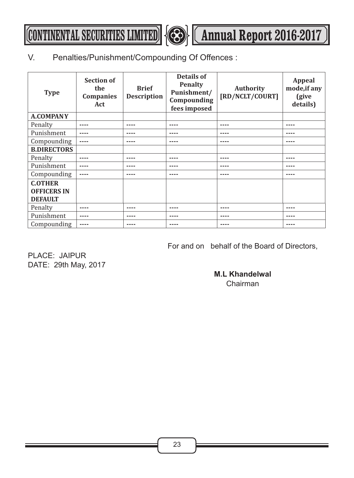**CONTINENTAL SECURITIES LIMITED**  $\bigotimes$  **(Annual Report 2016-2017**)



### V. Penalties/Punishment/Compounding Of Offences :

| <b>Type</b>                                            | <b>Section of</b><br>the<br><b>Companies</b><br>Act | <b>Brief</b><br><b>Description</b> | Details of<br><b>Penalty</b><br>Punishment/<br>Compounding<br>fees imposed | <b>Authority</b><br>[RD/NCLT/COURT] | Appeal<br>mode, if any<br>(give<br>details) |
|--------------------------------------------------------|-----------------------------------------------------|------------------------------------|----------------------------------------------------------------------------|-------------------------------------|---------------------------------------------|
| <b>A.COMPANY</b>                                       |                                                     |                                    |                                                                            |                                     |                                             |
| Penalty                                                | ----                                                | ----                               | ----                                                                       | ----                                | ----                                        |
| Punishment                                             |                                                     | ----                               |                                                                            | ----                                |                                             |
| Compounding                                            | $- - - -$                                           | ----                               | ----                                                                       | ----                                | ----                                        |
| <b>B.DIRECTORS</b>                                     |                                                     |                                    |                                                                            |                                     |                                             |
| Penalty                                                | ----                                                | ----                               | ----                                                                       | ----                                | ----                                        |
| Punishment                                             |                                                     | ----                               |                                                                            |                                     |                                             |
| Compounding                                            | $---$                                               | ----                               | ----                                                                       | ----                                | ----                                        |
| <b>C.OTHER</b><br><b>OFFICERS IN</b><br><b>DEFAULT</b> |                                                     |                                    |                                                                            |                                     |                                             |
| Penalty                                                | ----                                                | ----                               | ----                                                                       | ----                                | ----                                        |
| Punishment                                             | ----                                                | ----                               | ----                                                                       | ----                                | ----                                        |
| Compounding                                            | $- - - -$                                           | ----                               | ----                                                                       | ----                                | ----                                        |

For and on behalf of the Board of Directors,

PLACE: JAIPUR DATE: 29th May, 2017

### **M.L Khandelwal**  Chairman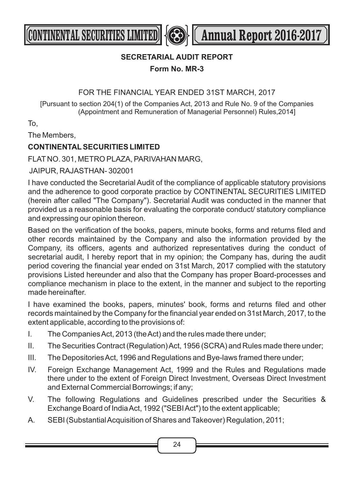

**CONTINENTAL SECURITIES LIMITED <b>Annual Report 2016-2017** 

### **SECRETARIAL AUDIT REPORT**

**Form No. MR-3**

### FOR THE FINANCIAL YEAR ENDED 31ST MARCH, 2017

[Pursuant to section 204(1) of the Companies Act, 2013 and Rule No. 9 of the Companies (Appointment and Remuneration of Managerial Personnel) Rules,2014]

To,

The Members,

### **CONTINENTALSECURITIES LIMITED**

FLAT NO. 301, METRO PLAZA, PARIVAHAN MARG,

JAIPUR, RAJASTHAN- 302001

I have conducted the Secretarial Audit of the compliance of applicable statutory provisions and the adherence to good corporate practice by CONTINENTAL SECURITIES LIMITED (herein after called "The Company"). Secretarial Audit was conducted in the manner that provided us a reasonable basis for evaluating the corporate conduct/ statutory compliance and expressing our opinion thereon.

Based on the verification of the books, papers, minute books, forms and returns filed and other records maintained by the Company and also the information provided by the Company, its officers, agents and authorized representatives during the conduct of secretarial audit, I hereby report that in my opinion; the Company has, during the audit period covering the financial year ended on 31st March, 2017 complied with the statutory provisions Listed hereunder and also that the Company has proper Board-processes and compliance mechanism in place to the extent, in the manner and subject to the reporting made hereinafter.

I have examined the books, papers, minutes' book, forms and returns filed and other records maintained by the Company for the financial year ended on 31st March, 2017, to the extent applicable, according to the provisions of:

- I. The Companies Act, 2013 (the Act) and the rules made there under;
- II. The Securities Contract (Regulation) Act, 1956 (SCRA) and Rules made there under;
- III. The Depositories Act, 1996 and Regulations and Bye-laws framed there under;
- IV. Foreign Exchange Management Act, 1999 and the Rules and Regulations made there under to the extent of Foreign Direct Investment, Overseas Direct Investment and External Commercial Borrowings; if any;
- V. The following Regulations and Guidelines prescribed under the Securities & Exchange Board of India Act, 1992 ("SEBI Act") to the extent applicable;
- A. SEBI (Substantial Acquisition of Shares and Takeover) Regulation, 2011;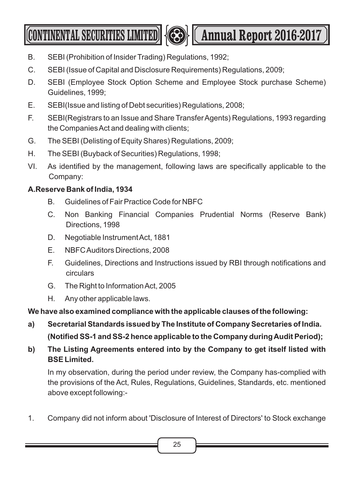**CONTINENTAL SECURITIES LIMITED <b>AND LESS** (Annual Report 2016-2017



- B. SEBI (Prohibition of Insider Trading) Regulations, 1992;
- C. SEBI (Issue of Capital and Disclosure Requirements) Regulations, 2009;
- D. SEBI (Employee Stock Option Scheme and Employee Stock purchase Scheme) Guidelines, 1999;
- E. SEBI(Issue and listing of Debt securities) Regulations, 2008;
- F. SEBI(Registrars to an Issue and Share Transfer Agents) Regulations, 1993 regarding the Companies Act and dealing with clients;
- G. The SEBI (Delisting of Equity Shares) Regulations, 2009;
- H. The SEBI (Buyback of Securities) Regulations, 1998;
- VI. As identified by the management, following laws are specifically applicable to the Company:

### **A.Reserve Bank of India, 1934**

- B. Guidelines of Fair Practice Code for NBFC
- C. Non Banking Financial Companies Prudential Norms (Reserve Bank) Directions, 1998
- D. Negotiable Instrument Act, 1881
- E. NBFC Auditors Directions, 2008
- F. Guidelines, Directions and Instructions issued by RBI through notifications and circulars
- G. The Right to Information Act, 2005
- H. Any other applicable laws.

### **We have also examined compliance with the applicable clauses of the following:**

- **a) Secretarial Standards issued by The Institute of Company Secretaries of India. (Notified SS-1 and SS-2 hence applicable to the Company during Audit Period);**
- **b) The Listing Agreements entered into by the Company to get itself listed with BSE Limited.**

In my observation, during the period under review, the Company has-complied with the provisions of the Act, Rules, Regulations, Guidelines, Standards, etc. mentioned above except following:-

1. Company did not inform about 'Disclosure of Interest of Directors' to Stock exchange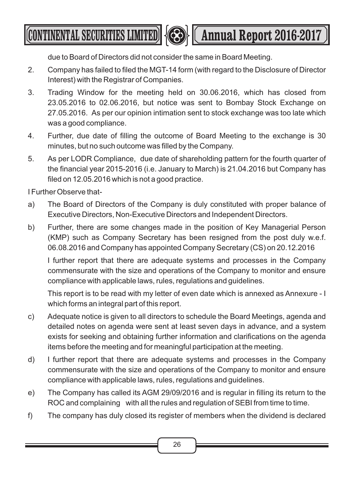**CONTINENTAL SECURITIES LIMITED <b>Annual Report 2016-2017** 

due to Board of Directors did not consider the same in Board Meeting.

- 2. Company has failed to filed the MGT-14 form (with regard to the Disclosure of Director Interest) with the Registrar of Companies.
- 3. Trading Window for the meeting held on 30.06.2016, which has closed from 23.05.2016 to 02.06.2016, but notice was sent to Bombay Stock Exchange on 27.05.2016. As per our opinion intimation sent to stock exchange was too late which was a good compliance.
- 4. Further, due date of filling the outcome of Board Meeting to the exchange is 30 minutes, but no such outcome was filled by the Company.
- 5. As per LODR Compliance, due date of shareholding pattern for the fourth quarter of the financial year 2015-2016 (i.e. January to March) is 21.04.2016 but Company has filed on 12.05.2016 which is not a good practice.

I Further Observe that-

- a) The Board of Directors of the Company is duly constituted with proper balance of Executive Directors, Non-Executive Directors and Independent Directors.
- b) Further, there are some changes made in the position of Key Managerial Person (KMP) such as Company Secretary has been resigned from the post duly w.e.f. 06.08.2016 and Company has appointed Company Secretary (CS) on 20.12.2016

I further report that there are adequate systems and processes in the Company commensurate with the size and operations of the Company to monitor and ensure compliance with applicable laws, rules, regulations and guidelines.

This report is to be read with my letter of even date which is annexed as Annexure - I which forms an integral part of this report.

- c) Adequate notice is given to all directors to schedule the Board Meetings, agenda and detailed notes on agenda were sent at least seven days in advance, and a system exists for seeking and obtaining further information and clarifications on the agenda items before the meeting and for meaningful participation at the meeting.
- d) I further report that there are adequate systems and processes in the Company commensurate with the size and operations of the Company to monitor and ensure compliance with applicable laws, rules, regulations and guidelines.
- e) The Company has called its AGM 29/09/2016 and is regular in filling its return to the ROC and complaining with all the rules and regulation of SEBI from time to time.
- f) The company has duly closed its register of members when the dividend is declared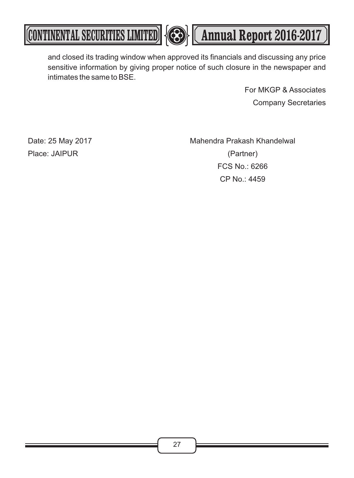**CONTINENTAL SECURITIES LIMITED 43 (Annual Report 2016-2017** 



and closed its trading window when approved its financials and discussing any price sensitive information by giving proper notice of such closure in the newspaper and intimates the same to BSE.

> For MKGP & Associates Company Secretaries

Date: 25 May 2017 Mahendra Prakash Khandelwal Place: JAIPUR (Partner) FCS No.: 6266 CP No.: 4459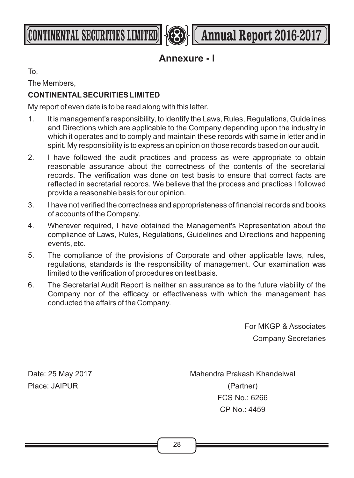



### **Annexure - I**

To,

The Members,

### **CONTINENTALSECURITIES LIMITED**

My report of even date is to be read along with this letter.

- 1. It is management's responsibility, to identify the Laws, Rules, Regulations, Guidelines and Directions which are applicable to the Company depending upon the industry in which it operates and to comply and maintain these records with same in letter and in spirit. My responsibility is to express an opinion on those records based on our audit.
- 2. I have followed the audit practices and process as were appropriate to obtain reasonable assurance about the correctness of the contents of the secretarial records. The verification was done on test basis to ensure that correct facts are reflected in secretarial records. We believe that the process and practices I followed provide a reasonable basis for our opinion.
- 3. I have not verified the correctness and appropriateness of financial records and books of accounts of the Company.
- 4. Wherever required, I have obtained the Management's Representation about the compliance of Laws, Rules, Regulations, Guidelines and Directions and happening events, etc.
- 5. The compliance of the provisions of Corporate and other applicable laws, rules, regulations, standards is the responsibility of management. Our examination was limited to the verification of procedures on test basis.
- 6. The Secretarial Audit Report is neither an assurance as to the future viability of the Company nor of the efficacy or effectiveness with which the management has conducted the affairs of the Company.

For MKGP & Associates Company Secretaries

Date: 25 May 2017 Mahendra Prakash Khandelwal Place: JAIPUR (Partner) FCS No.: 6266 CP No.: 4459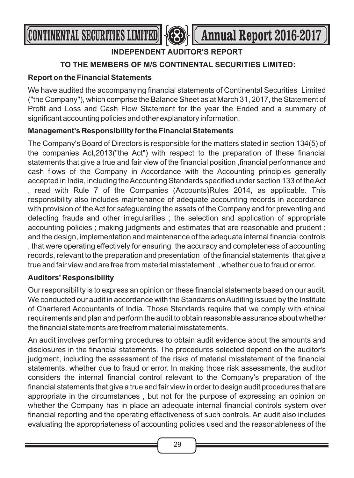

### **INDEPENDENT AUDITOR'S REPORT**

### **TO THE MEMBERS OF M/S CONTINENTAL SECURITIES LIMITED:**

### **Report on the Financial Statements**

We have audited the accompanying financial statements of Continental Securities Limited ("the Company"), which comprise the Balance Sheet as at March 31, 2017, the Statement of Profit and Loss and Cash Flow Statement for the year the Ended and a summary of significant accounting policies and other explanatory information.

### **Management's Responsibility for the Financial Statements**

The Company's Board of Directors is responsible for the matters stated in section 134(5) of the companies Act,2013("the Act") with respect to the preparation of these financial statements that give a true and fair view of the financial position ,financial performance and cash flows of the Company in Accordance with the Accounting principles generally accepted in India, including the Accounting Standards specified under section 133 of the Act read with Rule 7 of the Companies (Accounts)Rules 2014, as applicable. This responsibility also includes maintenance of adequate accounting records in accordance with provision of the Act for safeguarding the assets of the Company and for preventing and detecting frauds and other irregularities ; the selection and application of appropriate accounting policies ; making judgments and estimates that are reasonable and prudent ; and the design, implementation and maintenance of the adequate internal financial controls , that were operating effectively for ensuring the accuracy and completeness of accounting records, relevant to the preparation and presentation of the financial statements that give a true and fair view and are free from material misstatement , whether due to fraud or error.

### **Auditors' Responsibility**

Our responsibility is to express an opinion on these financial statements based on our audit. We conducted our audit in accordance with the Standards on Auditing issued by the Institute of Chartered Accountants of India. Those Standards require that we comply with ethical requirements and plan and perform the audit to obtain reasonable assurance about whether the financial statements are freefrom material misstatements.

An audit involves performing procedures to obtain audit evidence about the amounts and disclosures in the financial statements. The procedures selected depend on the auditor's judgment, including the assessment of the risks of material misstatement of the financial statements, whether due to fraud or error. In making those risk assessments, the auditor considers the internal financial control relevant to the Company's preparation of the financial statements that give a true and fair view in order to design audit procedures that are appropriate in the circumstances , but not for the purpose of expressing an opinion on whether the Company has in place an adequate internal financial controls system over financial reporting and the operating effectiveness of such controls. An audit also includes evaluating the appropriateness of accounting policies used and the reasonableness of the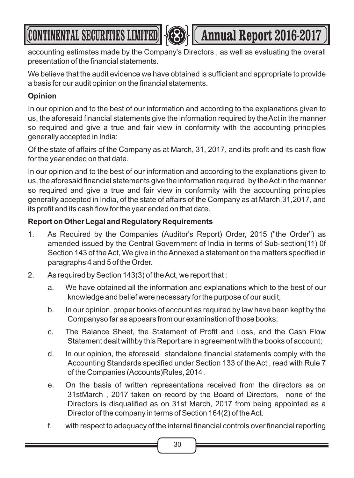# (CONTINENTAL SECURITIES LIMITED) **Annual Report 2016-2017**

accounting estimates made by the Company's Directors , as well as evaluating the overall presentation of the financial statements.

We believe that the audit evidence we have obtained is sufficient and appropriate to provide a basis for our audit opinion on the financial statements.

### **Opinion**

In our opinion and to the best of our information and according to the explanations given to us, the aforesaid financial statements give the information required by the Act in the manner so required and give a true and fair view in conformity with the accounting principles generally accepted in India:

Of the state of affairs of the Company as at March, 31, 2017, and its profit and its cash flow for the year ended on that date.

In our opinion and to the best of our information and according to the explanations given to us, the aforesaid financial statements give the information required by the Act in the manner so required and give a true and fair view in conformity with the accounting principles generally accepted in India, of the state of affairs of the Company as at March,31,2017, and its profit and its cash flow for the year ended on that date.

### **Report on Other Legal and Regulatory Requirements**

- 1. As Required by the Companies (Auditor's Report) Order, 2015 ("the Order") as amended issued by the Central Government of India in terms of Sub-section(11) 0f Section 143 of the Act, We give in the Annexed a statement on the matters specified in paragraphs 4 and 5 of the Order.
- 2. As required by Section 143(3) of the Act, we report that :
	- a. We have obtained all the information and explanations which to the best of our knowledge and belief were necessary for the purpose of our audit;
	- b. In our opinion, proper books of account as required by law have been kept by the Companyso far as appears from our examination of those books;
	- c. The Balance Sheet, the Statement of Profit and Loss, and the Cash Flow Statement dealt withby this Report are in agreement with the books of account;
	- d. In our opinion, the aforesaid standalone financial statements comply with the Accounting Standards specified under Section 133 of the Act , read with Rule 7 of the Companies (Accounts)Rules, 2014 .
	- e. On the basis of written representations received from the directors as on 31stMarch , 2017 taken on record by the Board of Directors, none of the Directors is disqualified as on 31st March, 2017 from being appointed as a Director of the company in terms of Section 164(2) of the Act.
	- f. with respect to adequacy of the internal financial controls over financial reporting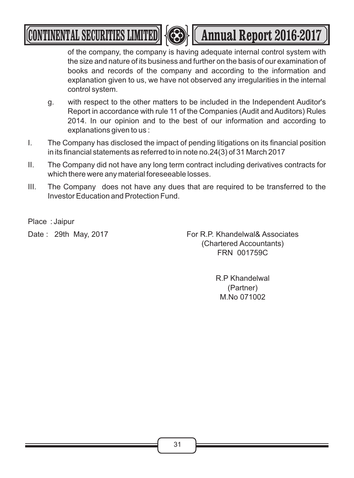# **CONTINENTAL SECURITIES LIMITED <b>Annual Report 2016-2017**



of the company, the company is having adequate internal control system with the size and nature of its business and further on the basis of our examination of books and records of the company and according to the information and explanation given to us, we have not observed any irregularities in the internal control system.

- g. with respect to the other matters to be included in the Independent Auditor's Report in accordance with rule 11 of the Companies (Audit and Auditors) Rules 2014. In our opinion and to the best of our information and according to explanations given to us :
- I. The Company has disclosed the impact of pending litigations on its financial position in its financial statements as referred to in note no.24(3) of 31 March 2017
- II. The Company did not have any long term contract including derivatives contracts for which there were any material foreseeable losses.
- III. The Company does not have any dues that are required to be transferred to the Investor Education and Protection Fund.

Place : Jaipur

Date : 29th May, 2017 **For R.P. Khandelwal& Associates** (Chartered Accountants) FRN 001759C

> R.P Khandelwal (Partner) M.No 071002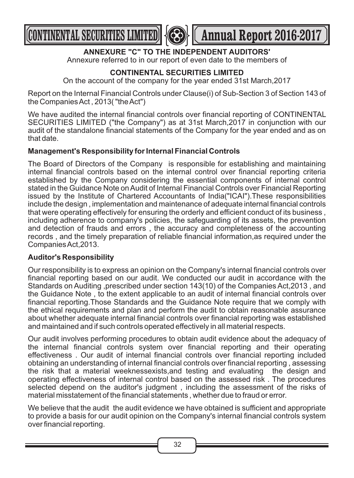



### **ANNEXURE "C" TO THE INDEPENDENT AUDITORS'**

Annexure referred to in our report of even date to the members of

### **CONTINENTAL SECURITIES LIMITED**

On the account of the company for the year ended 31st March,2017

Report on the Internal Financial Controls under Clause(i) of Sub-Section 3 of Section 143 of the Companies Act , 2013( "the Act")

We have audited the internal financial controls over financial reporting of CONTINENTAL SECURITIES LIMITED ("the Company") as at 31st March,2017 in conjunction with our audit of the standalone financial statements of the Company for the year ended and as on that date.

### **Management's Responsibility for Internal Financial Controls**

The Board of Directors of the Company is responsible for establishing and maintaining internal financial controls based on the internal control over financial reporting criteria established by the Company considering the essential components of internal control stated in the Guidance Note on Audit of Internal Financial Controls over Financial Reporting issued by the Institute of Chartered Accountants of India("ICAI").These responsibilities include the design , implementation and maintenance of adequate internal financial controls that were operating effectively for ensuring the orderly and efficient conduct of its business , including adherence to company's policies, the safeguarding of its assets, the prevention and detection of frauds and errors , the accuracy and completeness of the accounting records , and the timely preparation of reliable financial information,as required under the Companies Act,2013.

### **Auditor's Responsibility**

Our responsibility is to express an opinion on the Company's internal financial controls over financial reporting based on our audit. We conducted our audit in accordance with the Standards on Auditing ,prescribed under section 143(10) of the Companies Act,2013 , and the Guidance Note , to the extent applicable to an audit of internal financial controls over financial reporting.Those Standards and the Guidance Note require that we comply with the ethical requirements and plan and perform the audit to obtain reasonable assurance about whether adequate internal financial controls over financial reporting was established and maintained and if such controls operated effectively in all material respects.

Our audit involves performing procedures to obtain audit evidence about the adequacy of the internal financial controls system over financial reporting and their operating effectiveness . Our audit of internal financial controls over financial reporting included obtaining an understanding of internal financial controls over financial reporting , assessing the risk that a material weeknessexists,and testing and evaluating the design and operating effectiveness of internal control based on the assessed risk . The procedures selected depend on the auditor's judgment , including the assessment of the risks of material misstatement of the financial statements , whether due to fraud or error.

We believe that the audit the audit evidence we have obtained is sufficient and appropriate to provide a basis for our audit opinion on the Company's internal financial controls system over financial reporting.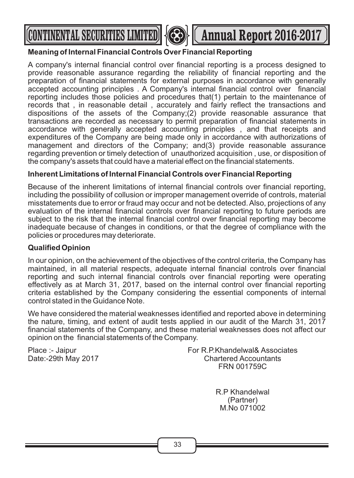



### **Meaning of Internal Financial Controls Over Financial Reporting**

A company's internal financial control over financial reporting is a process designed to provide reasonable assurance regarding the reliability of financial reporting and the preparation of financial statements for external purposes in accordance with generally accepted accounting principles . A Company's internal financial control over financial reporting includes those policies and procedures that(1) pertain to the maintenance of records that , in reasonable detail , accurately and fairly reflect the transactions and dispositions of the assets of the Company;(2) provide reasonable assurance that transactions are recorded as necessary to permit preparation of financial statements in accordance with generally accepted accounting principles , and that receipts and expenditures of the Company are being made only in accordance with authorizations of management and directors of the Company; and(3) provide reasonable assurance regarding prevention or timely detection of unauthorized acquisition , use, or disposition of the company's assets that could have a material effect on the financial statements.

### **Inherent Limitations of Internal Financial Controls over Financial Reporting**

Because of the inherent limitations of internal financial controls over financial reporting, including the possibility of collusion or improper management override of controls, material misstatements due to error or fraud may occur and not be detected. Also, projections of any evaluation of the internal financial controls over financial reporting to future periods are subject to the risk that the internal financial control over financial reporting may become inadequate because of changes in conditions, or that the degree of compliance with the policies or procedures may deteriorate.

### **Qualified Opinion**

In our opinion, on the achievement of the objectives of the control criteria, the Company has maintained, in all material respects, adequate internal financial controls over financial reporting and such internal financial controls over financial reporting were operating effectively as at March 31, 2017, based on the internal control over financial reporting criteria established by the Company considering the essential components of internal control stated in the Guidance Note.

We have considered the material weaknesses identified and reported above in determining the nature, timing, and extent of audit tests applied in our audit of the March 31, 2017 financial statements of the Company, and these material weaknesses does not affect our opinion on the financial statements of the Company.

Date:-29th May 2017

Place :- Jaipur **For R.P.Khandelwal& Associates**<br>Date:-29th May 2017 **For R.P.Khandelwal& Associates** FRN 001759C

> R.P Khandelwal (Partner) M.No 071002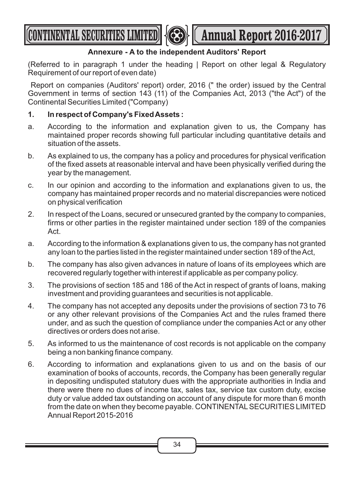**CONTINENTAL SECURITIES LIMITED Annual Report 2016-2017** 



### **Annexure - A to the independent Auditors' Report**

(Referred to in paragraph 1 under the heading | Report on other legal & Regulatory Requirement of our report of even date)

Report on companies (Auditors' report) order, 2016 (" the order) issued by the Central Government in terms of section 143 (11) of the Companies Act, 2013 ("the Act") of the Continental Securities Limited ("Company)

### **1. In respect of Company's Fixed Assets :**

- a. According to the information and explanation given to us, the Company has maintained proper records showing full particular including quantitative details and situation of the assets.
- b. As explained to us, the company has a policy and procedures for physical verification of the fixed assets at reasonable interval and have been physically verified during the year by the management.
- c. In our opinion and according to the information and explanations given to us, the company has maintained proper records and no material discrepancies were noticed on physical verification
- 2. In respect of the Loans, secured or unsecured granted by the company to companies, firms or other parties in the register maintained under section 189 of the companies Act.
- a. According to the information & explanations given to us, the company has not granted any loan to the parties listed in the register maintained under section 189 of the Act,
- b. The company has also given advances in nature of loans of its employees which are recovered regularly together with interest if applicable as per company policy.
- 3. The provisions of section 185 and 186 of the Act in respect of grants of loans, making investment and providing guarantees and securities is not applicable.
- 4. The company has not accepted any deposits under the provisions of section 73 to 76 or any other relevant provisions of the Companies Act and the rules framed there under, and as such the question of compliance under the companies Act or any other directives or orders does not arise.
- 5. As informed to us the maintenance of cost records is not applicable on the company being a non banking finance company.
- 6. According to information and explanations given to us and on the basis of our examination of books of accounts, records, the Company has been generally regular in depositing undisputed statutory dues with the appropriate authorities in India and there were there no dues of income tax, sales tax, service tax custom duty, excise duty or value added tax outstanding on account of any dispute for more than 6 month from the date on when they become payable. CONTINENTAL SECURITIES LIMITED Annual Report 2015-2016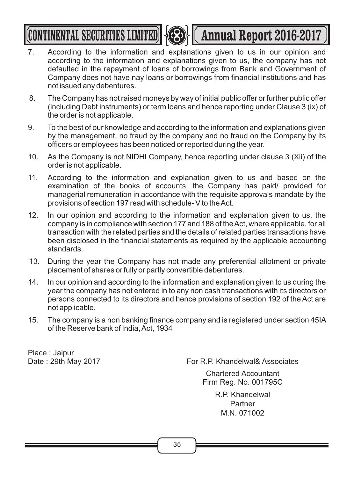**CONTINENTAL SECURITIES LIMITED | (CEE) | (Annual Report 2016-2017** 



- 7. According to the information and explanations given to us in our opinion and according to the information and explanations given to us, the company has not defaulted in the repayment of loans of borrowings from Bank and Government of Company does not have nay loans or borrowings from financial institutions and has not issued any debentures.
- 8. The Company has not raised moneys by way of initial public offer or further public offer (including Debt instruments) or term loans and hence reporting under Clause 3 (ix) of the order is not applicable.
- 9. To the best of our knowledge and according to the information and explanations given by the management, no fraud by the company and no fraud on the Company by its officers or employees has been noticed or reported during the year.
- 10. As the Company is not NIDHI Company, hence reporting under clause 3 (Xii) of the order is not applicable.
- 11. According to the information and explanation given to us and based on the examination of the books of accounts, the Company has paid/ provided for managerial remuneration in accordance with the requisite approvals mandate by the provisions of section 197 read with schedule- V to the Act.
- 12. In our opinion and according to the information and explanation given to us, the company is in compliance with section 177 and 188 of the Act, where applicable, for all transaction with the related parties and the details of related parties transactions have been disclosed in the financial statements as required by the applicable accounting standards.
- 13. During the year the Company has not made any preferential allotment or private placement of shares or fully or partly convertible debentures.
- 14. In our opinion and according to the information and explanation given to us during the year the company has not entered in to any non cash transactions with its directors or persons connected to its directors and hence provisions of section 192 of the Act are not applicable.
- 15. The company is a non banking finance company and is registered under section 45IA of the Reserve bank of India, Act, 1934

Place : Jaipur

Date: 29th May 2017 **For R.P. Khandelwal& Associates** 

Chartered Accountant Firm Reg. No. 001795C

> R.P. Khandelwal **Partner** M.N. 071002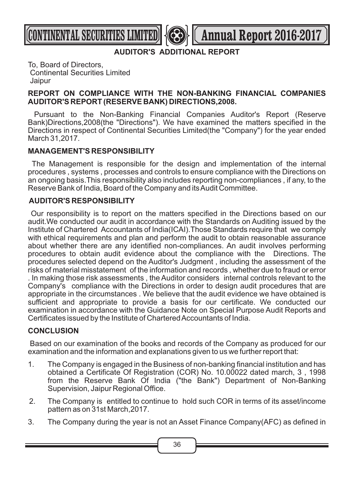**CONTINENTAL SECURITIES LIMITED <b>Annual Report 2016-2017** 

**AUDITOR'S ADDITIONAL REPORT** 

To, Board of Directors, Continental Securities Limited Jaipur

### **REPORT ON COMPLIANCE WITH THE NON-BANKING FINANCIAL COMPANIES AUDITOR'S REPORT (RESERVE BANK) DIRECTIONS,2008.**

Pursuant to the Non-Banking Financial Companies Auditor's Report (Reserve Bank)Directions,2008(the "Directions"). We have examined the matters specified in the Directions in respect of Continental Securities Limited(the "Company") for the year ended March 31,2017.

### **MANAGEMENT'S RESPONSIBILITY**

The Management is responsible for the design and implementation of the internal procedures , systems , processes and controls to ensure compliance with the Directions on an ongoing basis.This responsibility also includes reporting non-compliances , if any, to the Reserve Bank of India, Board of the Company and its Audit Committee.

### **AUDITOR'S RESPONSIBILITY**

Our responsibility is to report on the matters specified in the Directions based on our audit.We conducted our audit in accordance with the Standards on Auditing issued by the Institute of Chartered Accountants of India(ICAI).Those Standards require that we comply with ethical requirements and plan and perform the audit to obtain reasonable assurance about whether there are any identified non-compliances. An audit involves performing procedures to obtain audit evidence about the compliance with the Directions. The procedures selected depend on the Auditor's Judgment , including the assessment of the risks of material misstatement of the information and records , whether due to fraud or error . In making those risk assessments , the Auditor considers internal controls relevant to the Company's compliance with the Directions in order to design audit procedures that are appropriate in the circumstances . We believe that the audit evidence we have obtained is sufficient and appropriate to provide a basis for our certificate. We conducted our examination in accordance with the Guidance Note on Special Purpose Audit Reports and Certificates issued by the Institute of Chartered Accountants of India.

### **CONCLUSION**

Based on our examination of the books and records of the Company as produced for our examination and the information and explanations given to us we further report that:

- 1. The Company is engaged in the Business of non-banking financial institution and has obtained a Certificate Of Registration (COR) No. 10.00022 dated march, 3 , 1998 from the Reserve Bank Of India ("the Bank") Department of Non-Banking Supervision, Jaipur Regional Office.
- 2. The Company is entitled to continue to hold such COR in terms of its asset/income pattern as on 31st March,2017.
- 3. The Company during the year is not an Asset Finance Company(AFC) as defined in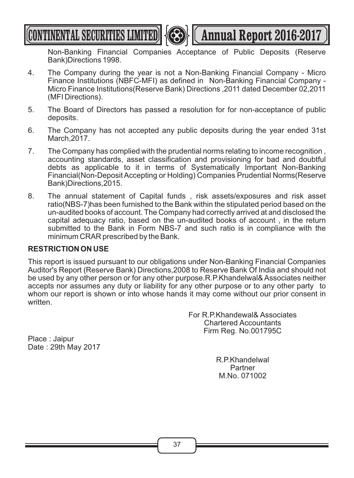**CONTINENTAL SECURITIES LIMITED <b>A Annual Report 2016-2017** 



Non-Banking Financial Companies Acceptance of Public Deposits (Reserve Bank)Directions 1998.

- 4. The Company during the year is not a Non-Banking Financial Company Micro Finance Institutions (NBFC-MFI) as defined in Non-Banking Financial Company - Micro Finance Institutions(Reserve Bank) Directions ,2011 dated December 02,2011 (MFI Directions).
- 5. The Board of Directors has passed a resolution for for non-acceptance of public deposits.
- 6. The Company has not accepted any public deposits during the year ended 31st March,2017.
- 7. The Company has complied with the prudential norms relating to income recognition , accounting standards, asset classification and provisioning for bad and doubtful debts as applicable to it in terms of Systematically Important Non-Banking Financial(Non-Deposit Accepting or Holding) Companies Prudential Norms(Reserve Bank)Directions,2015.
- 8. The annual statement of Capital funds , risk assets/exposures and risk asset ratio(NBS-7)has been furnished to the Bank within the stipulated period based on the un-audited books of account. The Company had correctly arrived at and disclosed the capital adequacy ratio, based on the un-audited books of account , in the return submitted to the Bank in Form NBS-7 and such ratio is in compliance with the minimum CRAR prescribed by the Bank.

### **RESTRICTION ON USE**

This report is issued pursuant to our obligations under Non-Banking Financial Companies Auditor's Report (Reserve Bank) Directions,2008 to Reserve Bank Of India and should not be used by any other person or for any other purpose.R.P.Khandelwal& Associates neither accepts nor assumes any duty or liability for any other purpose or to any other party to whom our report is shown or into whose hands it may come without our prior consent in written.

> For R.P.Khandewal& Associates Chartered Accountants Firm Reg. No.001795C

Place : Jaipur Date : 29th May 2017

> R.P.Khandelwal Partner M.No. 071002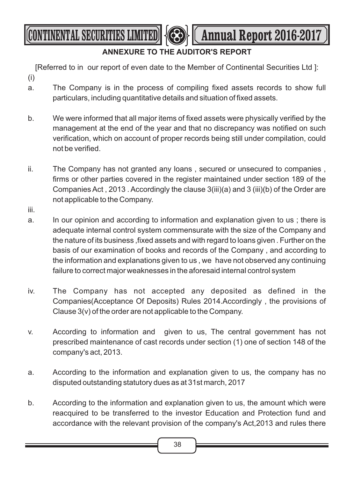**CONTINENTAL SECURITIES LIMITED <b>AND LET** Annual Report 2016-2017

### **ANNEXURE TO THE AUDITOR'S REPORT**

[Referred to in our report of even date to the Member of Continental Securities Ltd ]: (i)

- a. The Company is in the process of compiling fixed assets records to show full particulars, including quantitative details and situation of fixed assets.
- b. We were informed that all major items of fixed assets were physically verified by the management at the end of the year and that no discrepancy was notified on such verification, which on account of proper records being still under compilation, could not be verified.
- ii. The Company has not granted any loans , secured or unsecured to companies , firms or other parties covered in the register maintained under section 189 of the Companies Act , 2013 . Accordingly the clause 3(iii)(a) and 3 (iii)(b) of the Order are not applicable to the Company.
- iii.
- a. In our opinion and according to information and explanation given to us ; there is adequate internal control system commensurate with the size of the Company and the nature of its business ,fixed assets and with regard to loans given . Further on the basis of our examination of books and records of the Company , and according to the information and explanations given to us , we have not observed any continuing failure to correct major weaknesses in the aforesaid internal control system
- iv. The Company has not accepted any deposited as defined in the Companies(Acceptance Of Deposits) Rules 2014.Accordingly , the provisions of Clause 3(v) of the order are not applicable to the Company.
- v. According to information and given to us, The central government has not prescribed maintenance of cast records under section (1) one of section 148 of the company's act, 2013.
- a. According to the information and explanation given to us, the company has no disputed outstanding statutory dues as at 31st march, 2017
- b. According to the information and explanation given to us, the amount which were reacquired to be transferred to the investor Education and Protection fund and accordance with the relevant provision of the company's Act,2013 and rules there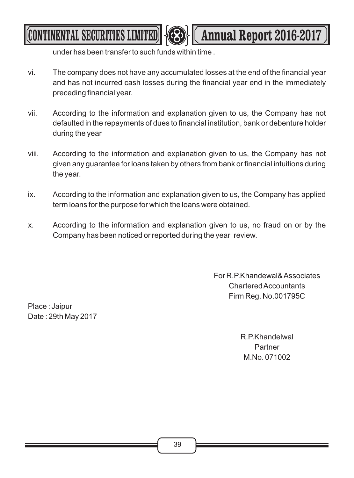under has been transfer to such funds within time .

vi. The company does not have any accumulated losses at the end of the financial year and has not incurred cash losses during the financial year end in the immediately preceding financial year.

**CONTINENTAL SECURITIES LIMITED <b>Annual Report 2016-2017** 

- vii. According to the information and explanation given to us, the Company has not defaulted in the repayments of dues to financial institution, bank or debenture holder during the year
- viii. According to the information and explanation given to us, the Company has not given any guarantee for loans taken by others from bank or financial intuitions during the year.
- ix. According to the information and explanation given to us, the Company has applied term loans for the purpose for which the loans were obtained.
- x. According to the information and explanation given to us, no fraud on or by the Company has been noticed or reported during the year review.

For R.P.Khandewal& Associates Chartered Accountants Firm Reg. No.001795C

Place : Jaipur Date : 29th May 2017

> R.P.Khandelwal Partner M.No. 071002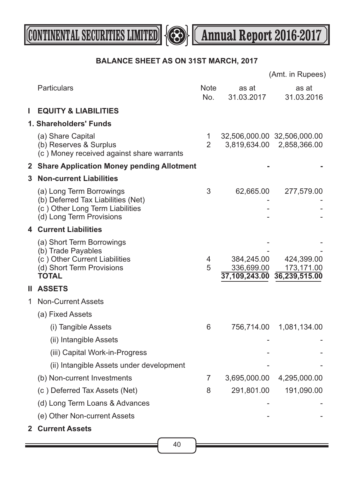



### **BALANCE SHEET AS ON 31ST MARCH, 2017**

|              |                                                                                                                               |                     |                          | (Amt. in Rupees)                                         |
|--------------|-------------------------------------------------------------------------------------------------------------------------------|---------------------|--------------------------|----------------------------------------------------------|
|              | Particulars                                                                                                                   | <b>Note</b><br>No.  | as at<br>31.03.2017      | as at<br>31.03.2016                                      |
| Ш            | <b>EQUITY &amp; LIABILITIES</b>                                                                                               |                     |                          |                                                          |
|              | 1. Shareholders' Funds                                                                                                        |                     |                          |                                                          |
|              | (a) Share Capital<br>(b) Reserves & Surplus<br>(c) Money received against share warrants                                      | 1<br>$\overline{2}$ |                          | 32,506,000.00 32,506,000.00<br>3,819,634.00 2,858,366.00 |
|              | 2 Share Application Money pending Allotment                                                                                   |                     |                          |                                                          |
| 3            | <b>Non-current Liabilities</b>                                                                                                |                     |                          |                                                          |
|              | (a) Long Term Borrowings<br>(b) Deferred Tax Liabilities (Net)<br>(c) Other Long Term Liabilities<br>(d) Long Term Provisions | 3                   | 62,665.00                | 277,579.00                                               |
|              | <b>4 Current Liabilities</b>                                                                                                  |                     |                          |                                                          |
|              | (a) Short Term Borrowings<br>(b) Trade Payables<br>(c) Other Current Liabilities<br>(d) Short Term Provisions<br><b>TOTAL</b> | 4<br>5              | 384,245.00<br>336,699.00 | 424,399.00<br>173,171.00<br>37,109,243.00 36,239,515.00  |
| н.           | <b>ASSETS</b>                                                                                                                 |                     |                          |                                                          |
| 1.           | <b>Non-Current Assets</b>                                                                                                     |                     |                          |                                                          |
|              | (a) Fixed Assets                                                                                                              |                     |                          |                                                          |
|              | (i) Tangible Assets                                                                                                           | 6                   | 756,714.00               | 1,081,134.00                                             |
|              | (ii) Intangible Assets                                                                                                        |                     |                          |                                                          |
|              | (iii) Capital Work-in-Progress                                                                                                |                     |                          |                                                          |
|              | (ii) Intangible Assets under development                                                                                      |                     |                          |                                                          |
|              | (b) Non-current Investments                                                                                                   | 7                   | 3,695,000.00             | 4,295,000.00                                             |
|              | (c) Deferred Tax Assets (Net)                                                                                                 | 8                   | 291,801.00               | 191,090.00                                               |
|              | (d) Long Term Loans & Advances                                                                                                |                     |                          |                                                          |
|              | (e) Other Non-current Assets                                                                                                  |                     |                          |                                                          |
| $\mathbf{2}$ | <b>Current Assets</b>                                                                                                         |                     |                          |                                                          |

40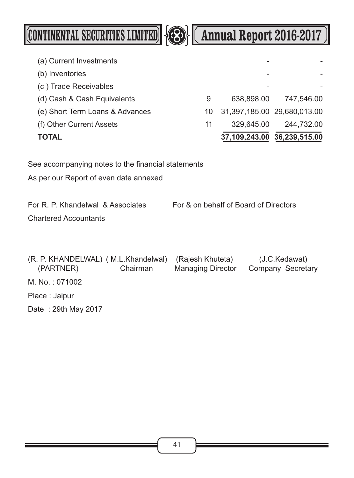

# **CONTINENTAL SECURITIES LIMITED <b>Annual Report 2016-2017**

| TOTAL                           |    |                             | 37,109,243.00 36,239,515.00 |
|---------------------------------|----|-----------------------------|-----------------------------|
| (f) Other Current Assets        | 11 | 329,645.00                  | 244,732.00                  |
| (e) Short Term Loans & Advances | 10 | 31,397,185.00 29,680,013.00 |                             |
| (d) Cash & Cash Equivalents     | 9  | 638,898.00                  | 747,546.00                  |
| (c) Trade Receivables           |    |                             |                             |
| (b) Inventories                 |    |                             |                             |
| (a) Current Investments         |    |                             |                             |

See accompanying notes to the financial statements

As per our Report of even date annexed

For R. P. Khandelwal & Associates For & on behalf of Board of Directors Chartered Accountants

(R. P. KHANDELWAL) ( M.L.Khandelwal) (Rajesh Khuteta) (J.C.Kedawat) (PARTNER) Chairman Managing Director Company Secretary M. No. : 071002 Place : Jaipur Date : 29th May 2017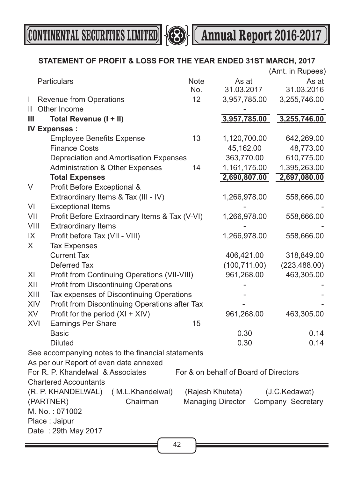

**CONTINENTAL SECURITIES LIMITED**  $\bigotimes$  **(Annual Report 2016-2017**)

### **STATEMENT OF PROFIT & LOSS FOR THE YEAR ENDED 31ST MARCH, 2017**

|      |                                                            |             |                                       | (Amt. in Rupees) |  |  |  |  |
|------|------------------------------------------------------------|-------------|---------------------------------------|------------------|--|--|--|--|
|      | Particulars                                                | <b>Note</b> | As at                                 | As at            |  |  |  |  |
|      |                                                            | No.         | 31.03.2017                            | 31.03.2016       |  |  |  |  |
| T    | <b>Revenue from Operations</b>                             | 12          | 3,957,785.00                          | 3,255,746.00     |  |  |  |  |
| Ш.   | Other Income                                               |             |                                       |                  |  |  |  |  |
| Ш    | Total Revenue (I + II)                                     |             | 3,957,785.00                          | 3,255,746.00     |  |  |  |  |
|      | <b>IV Expenses:</b>                                        |             |                                       |                  |  |  |  |  |
|      | <b>Employee Benefits Expense</b>                           | 13          | 1,120,700.00                          | 642,269.00       |  |  |  |  |
|      | <b>Finance Costs</b>                                       |             | 45,162.00                             | 48,773.00        |  |  |  |  |
|      | Depreciation and Amortisation Expenses                     |             | 363,770.00                            | 610,775.00       |  |  |  |  |
|      | <b>Administration &amp; Other Expenses</b>                 | 14          | 1,161,175.00                          | 1,395,263.00     |  |  |  |  |
|      | <b>Total Expenses</b>                                      |             | 2,690,807.00                          | 2,697,080.00     |  |  |  |  |
| V    | Profit Before Exceptional &                                |             |                                       |                  |  |  |  |  |
|      | Extraordinary Items & Tax (III - IV)                       |             | 1,266,978.00                          | 558,666.00       |  |  |  |  |
| VI   | <b>Exceptional Items</b>                                   |             |                                       |                  |  |  |  |  |
| VII  | Profit Before Extraordinary Items & Tax (V-VI)             |             | 1,266,978.00                          | 558,666.00       |  |  |  |  |
| VIII | <b>Extraordinary Items</b>                                 |             |                                       |                  |  |  |  |  |
| IX   | Profit before Tax (VII - VIII)                             |             | 1,266,978.00                          | 558,666.00       |  |  |  |  |
| X    | <b>Tax Expenses</b>                                        |             |                                       |                  |  |  |  |  |
|      | <b>Current Tax</b>                                         |             | 406,421.00                            | 318,849.00       |  |  |  |  |
|      | Deferred Tax                                               |             | (100, 711.00)                         | (223, 488.00)    |  |  |  |  |
| XI   | Profit from Continuing Operations (VII-VIII)               |             | 961,268.00                            | 463,305.00       |  |  |  |  |
| XII  | <b>Profit from Discontinuing Operations</b>                |             |                                       |                  |  |  |  |  |
| XIII | Tax expenses of Discontinuing Operations                   |             |                                       |                  |  |  |  |  |
| XIV  | Profit from Discontinuing Operations after Tax             |             |                                       |                  |  |  |  |  |
| XV   | Profit for the period $(XI + XIV)$                         |             | 961,268.00                            | 463,305.00       |  |  |  |  |
| XVI  | <b>Earnings Per Share</b>                                  | 15          |                                       |                  |  |  |  |  |
|      | <b>Basic</b>                                               |             | 0.30                                  | 0.14             |  |  |  |  |
|      | <b>Diluted</b>                                             |             | 0.30                                  | 0.14             |  |  |  |  |
|      | See accompanying notes to the financial statements         |             |                                       |                  |  |  |  |  |
|      | As per our Report of even date annexed                     |             |                                       |                  |  |  |  |  |
|      | For R. P. Khandelwal & Associates                          |             | For & on behalf of Board of Directors |                  |  |  |  |  |
|      | <b>Chartered Accountants</b>                               |             |                                       |                  |  |  |  |  |
|      | (R. P. KHANDELWAL)<br>(M.L.Khandelwal)                     |             | (Rajesh Khuteta)                      | (J.C.Kedawat)    |  |  |  |  |
|      | Chairman                                                   |             |                                       |                  |  |  |  |  |
|      | (PARTNER)<br><b>Managing Director</b><br>Company Secretary |             |                                       |                  |  |  |  |  |
|      | M. No.: 071002<br>Place: Jaipur                            |             |                                       |                  |  |  |  |  |
|      | Date: 29th May 2017                                        |             |                                       |                  |  |  |  |  |
|      |                                                            |             |                                       |                  |  |  |  |  |
|      |                                                            | 42          |                                       |                  |  |  |  |  |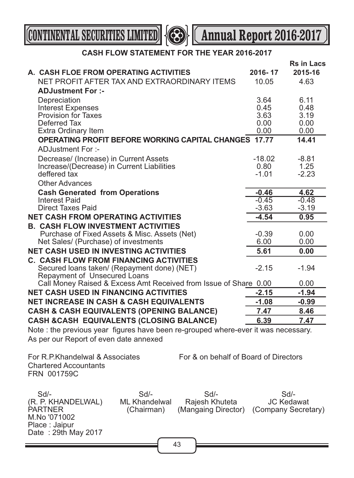Place : Jaipur

Date : 29th May 2017

**CONTINENTAL SECURITIES LIMITED 4 Annual Report 2016-2017** 

### **CASH FLOW STATEMENT FOR THE YEAR 2016-2017**

|                                                                                                                                                                 | A. CASH FLOE FROM OPERATING ACTIVITIES<br>NET PROFIT AFTER TAX AND EXTRAORDINARY ITEMS                                       |  |                                       | 2016-17<br>10.05 | <b>Rs in Lacs</b><br>2015-16<br>4.63               |
|-----------------------------------------------------------------------------------------------------------------------------------------------------------------|------------------------------------------------------------------------------------------------------------------------------|--|---------------------------------------|------------------|----------------------------------------------------|
|                                                                                                                                                                 | <b>ADJustment For :-</b>                                                                                                     |  |                                       |                  |                                                    |
|                                                                                                                                                                 | Depreciation                                                                                                                 |  |                                       | 3.64             | 6.11                                               |
|                                                                                                                                                                 | <b>Interest Expenses</b>                                                                                                     |  |                                       | 0.45             | 0.48                                               |
|                                                                                                                                                                 | <b>Provision for Taxes</b>                                                                                                   |  |                                       | 3.63             | 3.19                                               |
|                                                                                                                                                                 | Deferred Tax                                                                                                                 |  |                                       | 0.00             | 0.00                                               |
|                                                                                                                                                                 | <b>Extra Ordinary Item</b>                                                                                                   |  |                                       | 0.00             | 0.00                                               |
|                                                                                                                                                                 | <b>OPERATING PROFIT BEFORE WORKING CAPITAL CHANGES 17.77</b>                                                                 |  |                                       |                  | 14.41                                              |
|                                                                                                                                                                 | ADJustment For :-                                                                                                            |  |                                       |                  |                                                    |
|                                                                                                                                                                 | Decrease/ (Increase) in Current Assets                                                                                       |  |                                       | $-18.02$         | $-8.81$                                            |
|                                                                                                                                                                 | Increase/(Decrease) in Current Liabilities                                                                                   |  |                                       | 0.80             | 1.25                                               |
|                                                                                                                                                                 | deffered tax                                                                                                                 |  |                                       | $-1.01$          | $-2.23$                                            |
|                                                                                                                                                                 | <b>Other Advances</b>                                                                                                        |  |                                       |                  |                                                    |
|                                                                                                                                                                 | <b>Cash Generated from Operations</b>                                                                                        |  |                                       | $-0.46$          | 4.62                                               |
|                                                                                                                                                                 | <b>Interest Paid</b>                                                                                                         |  |                                       | $-0.45$          | $-0.48$                                            |
|                                                                                                                                                                 | <b>Direct Taxes Paid</b>                                                                                                     |  |                                       | $-3.63$          | $-3.19$                                            |
|                                                                                                                                                                 | <b>NET CASH FROM OPERATING ACTIVITIES</b>                                                                                    |  |                                       | $-4.54$          | 0.95                                               |
|                                                                                                                                                                 | <b>B. CASH FLOW INVESTMENT ACTIVITIES</b>                                                                                    |  |                                       |                  |                                                    |
|                                                                                                                                                                 | Purchase of Fixed Assets & Misc. Assets (Net)                                                                                |  |                                       | $-0.39$          | 0.00                                               |
|                                                                                                                                                                 | Net Sales/ (Purchase) of investments<br><b>NET CASH USED IN INVESTING ACTIVITIES</b>                                         |  |                                       | 6.00             | 0.00                                               |
|                                                                                                                                                                 |                                                                                                                              |  |                                       | 5.61             | 0.00                                               |
|                                                                                                                                                                 | <b>C. CASH FLOW FROM FINANCING ACTIVITIES</b><br>Secured Ioans taken/ (Repayment done) (NET)<br>Repayment of Unsecured Loans |  |                                       | $-2.15$          | $-1.94$                                            |
|                                                                                                                                                                 | Call Money Raised & Excess Amt Received from Issue of Share 0.00                                                             |  |                                       |                  | 0.00                                               |
|                                                                                                                                                                 | <b>NET CASH USED IN FINANCING ACTIVITIES</b>                                                                                 |  |                                       | $-2.15$          | $-1.94$                                            |
|                                                                                                                                                                 | <b>NET INCREASE IN CASH &amp; CASH EQUIVALENTS</b>                                                                           |  |                                       | $-1.08$          | $-0.99$                                            |
|                                                                                                                                                                 | <b>CASH &amp; CASH EQUIVALENTS (OPENING BALANCE)</b>                                                                         |  |                                       | 7.47             | 8.46                                               |
|                                                                                                                                                                 | <b>CASH &amp;CASH EQUIVALENTS (CLOSING BALANCE)</b>                                                                          |  |                                       | 6.39             | 7.47                                               |
|                                                                                                                                                                 | Note: the previous year figures have been re-grouped where-ever it was necessary.<br>As per our Report of even date annexed  |  |                                       |                  |                                                    |
|                                                                                                                                                                 | For R.P. Khandelwal & Associates<br><b>Chartered Accountants</b><br>FRN 001759C                                              |  | For & on behalf of Board of Directors |                  |                                                    |
| $Sd$ -<br>$Sd$ -<br>Sd/-<br>Rajesh Khuteta<br>(R. P. KHANDELWAL)<br><b>ML Khandelwal</b><br><b>PARTNER</b><br>(Chairman)<br>(Mangaing Director)<br>M.No '071002 |                                                                                                                              |  |                                       |                  | $Sd$ -<br><b>JC Kedawat</b><br>(Company Secretary) |

43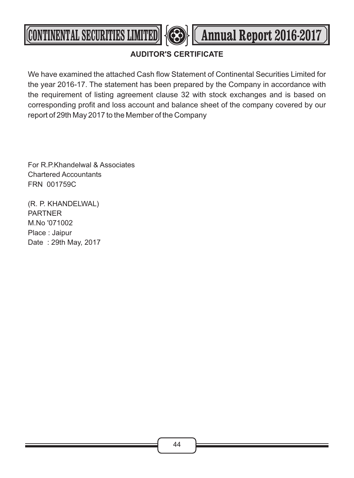

### **AUDITOR'S CERTIFICATE**

We have examined the attached Cash flow Statement of Continental Securities Limited for the year 2016-17. The statement has been prepared by the Company in accordance with the requirement of listing agreement clause 32 with stock exchanges and is based on corresponding profit and loss account and balance sheet of the company covered by our report of 29th May 2017 to the Member of the Company

For R.P.Khandelwal & Associates Chartered Accountants FRN 001759C

(R. P. KHANDELWAL) PARTNER M.No '071002 Place : Jaipur Date : 29th May, 2017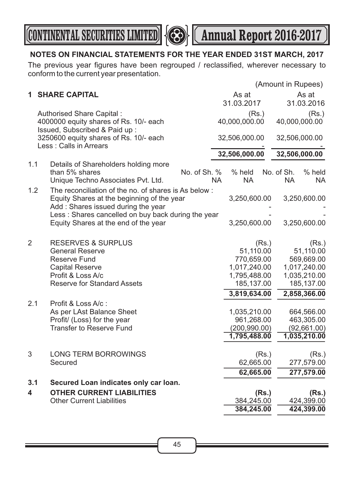



### **NOTES ON FINANCIAL STATEMENTS FOR THE YEAR ENDED 31ST MARCH, 2017**

The previous year figures have been regrouped / reclassified, wherever necessary to conform to the current year presentation.

|                |                                                                   |           |               |       |            | (Amount in Rupees) |
|----------------|-------------------------------------------------------------------|-----------|---------------|-------|------------|--------------------|
| 1.             | <b>SHARE CAPITAL</b>                                              |           | As at         |       |            | As at              |
|                |                                                                   |           | 31.03.2017    |       |            | 31.03.2016         |
|                | Authorised Share Capital:                                         |           | (Rs.)         |       |            | (Rs.)              |
|                | 4000000 equity shares of Rs. 10/- each                            |           | 40,000,000.00 |       |            | 40,000,000.00      |
|                | Issued, Subscribed & Paid up:                                     |           |               |       |            |                    |
|                | 3250600 equity shares of Rs. 10/- each<br>Less : Calls in Arrears |           | 32,506,000.00 |       |            | 32,506,000.00      |
|                |                                                                   |           | 32,506,000.00 |       |            | 32,506,000.00      |
| 1.1            | Details of Shareholders holding more                              |           |               |       |            |                    |
|                | No. of Sh. %<br>than 5% shares                                    |           | % held        |       | No. of Sh. | % held             |
|                | Unique Techno Associates Pvt. Ltd.                                | <b>NA</b> | <b>NA</b>     |       | NA.        | NA.                |
| 1.2            | The reconciliation of the no. of shares is As below:              |           |               |       |            |                    |
|                | Equity Shares at the beginning of the year                        |           | 3,250,600.00  |       |            | 3,250,600.00       |
|                | Add: Shares issued during the year                                |           |               |       |            |                    |
|                | Less: Shares cancelled on buy back during the year                |           |               |       |            |                    |
|                | Equity Shares at the end of the year                              |           | 3,250,600.00  |       |            | 3,250,600.00       |
| $\overline{2}$ | <b>RESERVES &amp; SURPLUS</b>                                     |           |               | (Rs.) |            | (Rs.)              |
|                | <b>General Reserve</b>                                            |           | 51,110.00     |       |            | 51,110.00          |
|                | Reserve Fund                                                      |           | 770,659.00    |       |            | 569,669.00         |
|                | <b>Capital Reserve</b>                                            |           | 1,017,240.00  |       |            | 1,017,240.00       |
|                | Profit & Loss A/c                                                 |           | 1,795,488.00  |       |            | 1,035,210.00       |
|                | <b>Reserve for Standard Assets</b>                                |           | 185,137.00    |       |            | 185,137.00         |
|                |                                                                   |           | 3,819,634.00  |       |            | 2,858,366.00       |
| 2.1            | Profit & Loss A/c:<br>As per LAst Balance Sheet                   |           | 1,035,210.00  |       |            | 664,566.00         |
|                | Profit/ (Loss) for the year                                       |           | 961,268.00    |       |            | 463,305.00         |
|                | <b>Transfer to Reserve Fund</b>                                   |           | (200, 990.00) |       |            | (92,661.00)        |
|                |                                                                   |           | 1,795,488.00  |       |            | 1,035,210.00       |
|                |                                                                   |           |               |       |            |                    |
| 3              | <b>LONG TERM BORROWINGS</b>                                       |           |               | (Rs.) |            | (Rs.)              |
|                | Secured                                                           |           | 62,665.00     |       |            | 277,579.00         |
|                |                                                                   |           | 62,665.00     |       |            | 277,579.00         |
| 3.1            | Secured Loan indicates only car loan.                             |           |               |       |            |                    |
| 4              | <b>OTHER CURRENT LIABILITIES</b>                                  |           |               | (Rs.) |            | (Rs.)              |
|                | <b>Other Current Liabilities</b>                                  |           | 384,245.00    |       |            | 424,399.00         |
|                |                                                                   |           | 384,245.00    |       |            | 424,399.00         |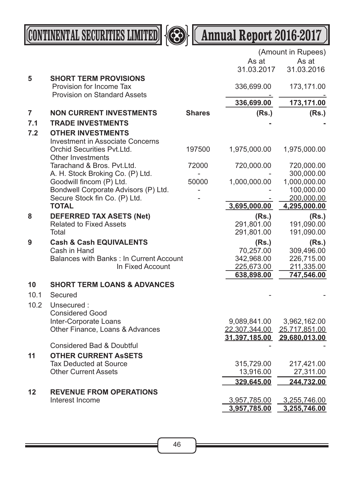

**CONTINENTAL SECURITIES LIMITED 4 Annual Report 2016-2017** 

|                |                                                                     |               |                         | (Amount in Rupees)       |
|----------------|---------------------------------------------------------------------|---------------|-------------------------|--------------------------|
|                |                                                                     |               | As at                   | As at                    |
|                |                                                                     |               | 31.03.2017              | 31.03.2016               |
| $5\phantom{1}$ | <b>SHORT TERM PROVISIONS</b>                                        |               |                         |                          |
|                | Provision for Income Tax                                            |               | 336,699.00              | 173,171.00               |
|                | <b>Provision on Standard Assets</b>                                 |               | 336,699.00              | 173,171.00               |
| $\overline{7}$ | <b>NON CURRENT INVESTMENTS</b>                                      | <b>Shares</b> | (Rs.)                   | (Rs.)                    |
| 7.1            | <b>TRADE INVESTMENTS</b>                                            |               |                         |                          |
| 7.2            |                                                                     |               |                         |                          |
|                | <b>OTHER INVESTMENTS</b><br><b>Investment in Associate Concerns</b> |               |                         |                          |
|                | Orchid Securities Pvt.Ltd.                                          | 197500        | 1,975,000.00            | 1,975,000.00             |
|                | <b>Other Investments</b>                                            |               |                         |                          |
|                | Tarachand & Bros. Pvt.Ltd.                                          | 72000         | 720,000.00              | 720,000.00               |
|                | A. H. Stock Broking Co. (P) Ltd.                                    |               |                         | 300,000.00               |
|                | Goodwill fincom (P) Ltd.                                            | 50000         | 1,000,000.00            | 1,000,000.00             |
|                | Bondwell Corporate Advisors (P) Ltd.                                |               |                         | 100,000.00               |
|                | Secure Stock fin Co. (P) Ltd.                                       |               |                         | 200,000.00               |
|                | <b>TOTAL</b>                                                        |               | 3,695,000.00            | 4,295,000.00             |
| 8              | <b>DEFERRED TAX ASETS (Net)</b>                                     |               | (Rs.)                   | (Rs.)                    |
|                | <b>Related to Fixed Assets</b>                                      |               | 291,801.00              | 191,090.00               |
|                | Total                                                               |               | 291,801.00              | 191,090.00               |
| 9              | <b>Cash &amp; Cash EQUIVALENTS</b>                                  |               | (Rs.)                   | (Rs.)                    |
|                | Cash in Hand<br>Balances with Banks: In Current Account             |               | 70,257.00<br>342,968.00 | 309,496.00<br>226,715.00 |
|                | In Fixed Account                                                    |               | 225,673.00              | 211,335.00               |
|                |                                                                     |               | 638,898.00              | 747,546.00               |
| 10             | <b>SHORT TERM LOANS &amp; ADVANCES</b>                              |               |                         |                          |
| 10.1           | Secured                                                             |               |                         |                          |
| 10.2           | Unsecured:                                                          |               |                         |                          |
|                | <b>Considered Good</b>                                              |               |                         |                          |
|                | Inter-Corporate Loans                                               |               | 9,089,841.00            | 3,962,162.00             |
|                | Other Finance, Loans & Advances                                     |               | 22,307,344.00           | 25.717,851.00            |
|                |                                                                     |               | 31.397.185.00           | 29,680,013.00            |
|                | <b>Considered Bad &amp; Doubtful</b>                                |               |                         |                          |
| 11             | <b>OTHER CURRENT ASSETS</b>                                         |               |                         |                          |
|                | <b>Tax Deducted at Source</b>                                       |               | 315,729.00              | 217,421.00               |
|                | <b>Other Current Assets</b>                                         |               | 13,916.00               | 27,311.00                |
|                |                                                                     |               | 329,645.00              | 244,732.00               |
| 12             | <b>REVENUE FROM OPERATIONS</b>                                      |               |                         |                          |
|                | Interest Income                                                     |               | 3,957,785.00            | 3,255,746.00             |
|                |                                                                     |               | 3,957,785.00            | 3,255,746.00             |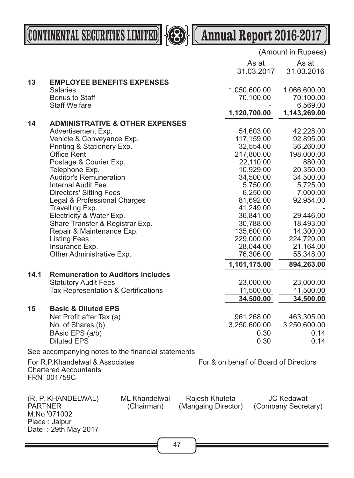



|                |                                                                                |                                    |                                       |                                       | (Amount in Rupees)                       |
|----------------|--------------------------------------------------------------------------------|------------------------------------|---------------------------------------|---------------------------------------|------------------------------------------|
|                |                                                                                |                                    |                                       | As at                                 | As at                                    |
|                |                                                                                |                                    |                                       | 31.03.2017                            | 31.03.2016                               |
| 13             | <b>EMPLOYEE BENEFITS EXPENSES</b>                                              |                                    |                                       |                                       |                                          |
|                | <b>Salaries</b>                                                                |                                    |                                       | 1,050,600.00                          | 1,066,600.00                             |
|                | <b>Bonus to Staff</b>                                                          |                                    |                                       | 70,100.00                             | 70,100.00                                |
|                | <b>Staff Welfare</b>                                                           |                                    |                                       |                                       | 6,569.00                                 |
|                |                                                                                |                                    |                                       | 1,120,700.00                          | 1,143,269.00                             |
| 14             | <b>ADMINISTRATIVE &amp; OTHER EXPENSES</b>                                     |                                    |                                       |                                       |                                          |
|                | Advertisement Exp.                                                             |                                    |                                       | 54,603.00                             | 42,228.00                                |
|                | Vehicle & Conveyance Exp.                                                      |                                    |                                       | 117,159.00                            | 92,895.00                                |
|                | Printing & Stationery Exp.                                                     |                                    |                                       | 32,554.00                             | 36,260.00                                |
|                | <b>Office Rent</b>                                                             |                                    |                                       | 217,800.00                            | 198,000.00                               |
|                | Postage & Courier Exp.                                                         |                                    |                                       | 22,110.00                             | 880.00                                   |
|                | Telephone Exp.                                                                 |                                    |                                       | 10,929.00                             | 20,350.00                                |
|                | <b>Auditor's Remuneration</b>                                                  |                                    |                                       | 34,500.00                             | 34,500.00                                |
|                | <b>Internal Audit Fee</b>                                                      |                                    |                                       | 5,750.00                              | 5,725.00                                 |
|                | <b>Directors' Sitting Fees</b>                                                 |                                    |                                       | 6,250.00                              | 7,000.00                                 |
|                | Legal & Professional Charges                                                   |                                    |                                       | 81,692.00                             | 92,954.00                                |
|                | Travelling Exp.                                                                |                                    |                                       | 41,249.00                             |                                          |
|                | Electricity & Water Exp.                                                       |                                    |                                       | 36,841.00                             | 29,446.00                                |
|                | Share Transfer & Registrar Exp.                                                |                                    |                                       | 30,788.00                             | 18,493.00                                |
|                | Repair & Maintenance Exp.                                                      |                                    |                                       | 135,600.00                            | 14,300.00                                |
|                | <b>Listing Fees</b>                                                            |                                    |                                       | 229,000.00                            | 224,720.00                               |
|                | Insurance Exp.                                                                 |                                    |                                       | 28,044.00                             | 21,164.00                                |
|                | Other Administrative Exp.                                                      |                                    |                                       | 76,306.00                             | 55,348.00                                |
|                |                                                                                |                                    |                                       | 1,161,175.00                          | 894,263.00                               |
| 14.1           | <b>Remuneration to Auditors includes</b>                                       |                                    |                                       |                                       |                                          |
|                | <b>Statutory Audit Fees</b>                                                    |                                    |                                       | 23,000.00                             | 23,000.00                                |
|                | Tax Representation & Certifications                                            |                                    |                                       | 11,500.00                             | 11,500.00                                |
|                |                                                                                |                                    |                                       | 34,500.00                             | 34,500.00                                |
| 15             | <b>Basic &amp; Diluted EPS</b>                                                 |                                    |                                       |                                       |                                          |
|                | Net Profit after Tax (a)                                                       |                                    |                                       | 961,268.00                            | 463,305.00                               |
|                | No. of Shares (b)                                                              |                                    |                                       | 3,250,600.00                          | 3,250,600.00                             |
|                | BAsic EPS (a/b)                                                                |                                    |                                       | 0.30                                  | 0.14                                     |
|                | <b>Diluted EPS</b>                                                             |                                    |                                       | 0.30                                  | 0.14                                     |
|                |                                                                                |                                    |                                       |                                       |                                          |
|                | See accompanying notes to the financial statements                             |                                    |                                       |                                       |                                          |
|                | For R.P.Khandelwal & Associates<br><b>Chartered Accountants</b><br>FRN 001759C |                                    |                                       | For & on behalf of Board of Directors |                                          |
| <b>PARTNER</b> | (R. P. KHANDELWAL)<br>M.No '071002<br>Place: Jaipur<br>Date: 29th May 2017     | <b>ML Khandelwal</b><br>(Chairman) | Rajesh Khuteta<br>(Mangaing Director) |                                       | <b>JC Kedawat</b><br>(Company Secretary) |
|                |                                                                                |                                    |                                       |                                       |                                          |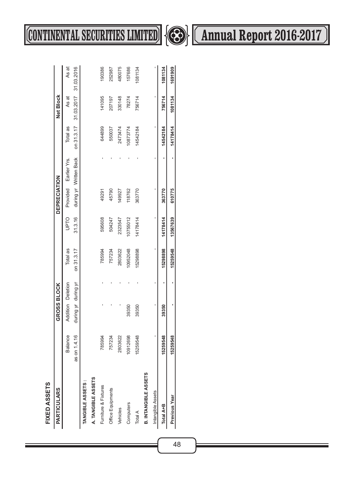| ٦<br>١  |
|---------|
|         |
|         |
| t       |
|         |
| т.<br>٠ |
|         |
|         |
|         |
|         |
|         |

| <b>PARTICULARS</b>          |                | GROSS BLOCK         |   |            |             | <b>DEPRECIATION</b> |                        |          | Net Block                        |         |
|-----------------------------|----------------|---------------------|---|------------|-------------|---------------------|------------------------|----------|----------------------------------|---------|
|                             | <b>Balance</b> | Addition Deletion   |   | Total as   | <b>OLdn</b> |                     | Provided Earlier Yrs.  | Total as | As at                            | As at   |
|                             | as on 1.4.16   | during yr during yr |   | on 31.3.17 | 31.3.16     |                     | during yr Written Back |          | on 31.3.17 31.03.2017 31.03.2016 |         |
| TANGIBLE ASSETS:            |                |                     |   |            |             |                     |                        |          |                                  |         |
| A. TANGIBLE ASSETS          |                |                     |   |            |             |                     |                        |          |                                  |         |
| Fumiture & Fixtures         | 785994         |                     |   | 785994     | 595608      | 49291               |                        | 644899   | 141095                           | 190386  |
| Office Equipments           | 757234         |                     |   | 757234     | 504247      | 45790               |                        | 550037   | 207197                           | 252987  |
| Vehicles                    | 2803622        |                     |   | 2803622    | 2323547     | 149927              |                        | 2473474  | 330148                           | 480075  |
| Computers                   | 0912698        | 39350               |   | 10952048   | 10755012    | 118762              |                        | 10873774 | 78274                            | 157686  |
| Total A                     | 15259548       | 39350               |   | 15298898   | 14178414    | 363770              |                        | 14542184 | 756714                           | 1081134 |
| <b>B. INTANGIBLE ASSETS</b> |                |                     |   |            |             |                     |                        |          |                                  |         |
| Intangible Assets           |                |                     |   |            |             |                     |                        |          |                                  |         |
| Total A+B                   | 15259548       | 39350               | 1 | 15298898   | 14178414    | 363770              | 1                      | 14542184 | 756714                           | 1081134 |
| <b>Previous Year</b>        | 15259548       | ı                   | ı | 15259548   | 13567639    | 610775              | ı                      | 14178414 | 1081134                          | 1691909 |



# **CONTINENTAL SECURITIES LIMITED 4 Annual Report 2016-2017**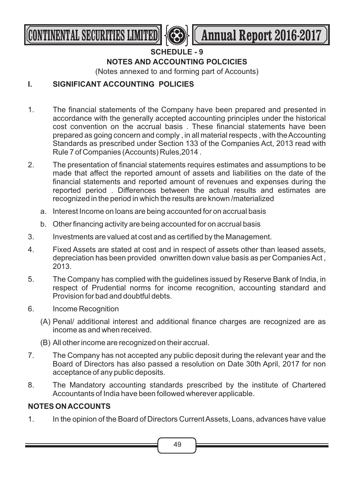

### **SCHEDULE - 9 NOTES AND ACCOUNTING POLCICIES**

(Notes annexed to and forming part of Accounts)

### **I. SIGNIFICANT ACCOUNTING POLICIES**

- 1. The financial statements of the Company have been prepared and presented in accordance with the generally accepted accounting principles under the historical cost convention on the accrual basis . These financial statements have been prepared as going concern and comply , in all material respects , with the Accounting Standards as prescribed under Section 133 of the Companies Act, 2013 read with Rule 7 of Companies (Accounts) Rules,2014 .
- 2. The presentation of financial statements requires estimates and assumptions to be made that affect the reported amount of assets and liabilities on the date of the financial statements and reported amount of revenues and expenses during the reported period . Differences between the actual results and estimates are recognized in the period in which the results are known /materialized
	- a. Interest Income on loans are being accounted for on accrual basis
	- b. Other financing activity are being accounted for on accrual basis
- 3. Investments are valued at cost and as certified by the Management.
- 4. Fixed Assets are stated at cost and in respect of assets other than leased assets, depreciation has been provided onwritten down value basis as per Companies Act , 2013.
- 5. The Company has complied with the guidelines issued by Reserve Bank of India, in respect of Prudential norms for income recognition, accounting standard and Provision for bad and doubtful debts.
- 6. Income Recognition
	- (A) Penal/ additional interest and additional finance charges are recognized are as income as and when received.
	- (B) All other income are recognized on their accrual.
- 7. The Company has not accepted any public deposit during the relevant year and the Board of Directors has also passed a resolution on Date 30th April, 2017 for non acceptance of any public deposits.
- 8. The Mandatory accounting standards prescribed by the institute of Chartered Accountants of India have been followed wherever applicable.

### **NOTES ON ACCOUNTS**

1. In the opinion of the Board of Directors Current Assets, Loans, advances have value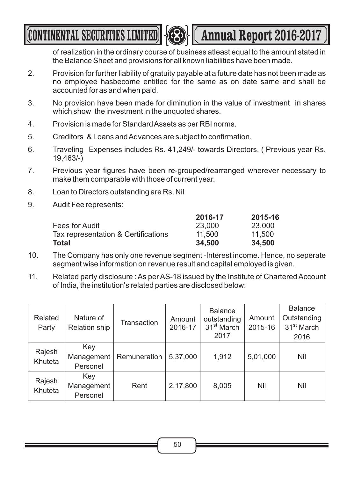**CONTINENTAL SECURITIES LIMITED <b>AND LES** (Annual Report 2016-2017



of realization in the ordinary course of business atleast equal to the amount stated in

the Balance Sheet and provisions for all known liabilities have been made.

- 2. Provision for further liability of gratuity payable at a future date has not been made as no employee hasbecome entitled for the same as on date same and shall be accounted for as and when paid.
- 3. No provision have been made for diminution in the value of investment in shares which show the investment in the unquoted shares.
- 4. Provision is made for Standard Assets as per RBI norms.
- 5. Creditors & Loans and Advances are subject to confirmation.
- 6. Traveling Expenses includes Rs. 41,249/- towards Directors. ( Previous year Rs. 19,463/-)
- 7. Previous year figures have been re-grouped/rearranged wherever necessary to make them comparable with those of current year.
- 8. Loan to Directors outstanding are Rs. Nil
- 9. Audit Fee represents:

|                                     | 2016-17 | 2015-16 |
|-------------------------------------|---------|---------|
| Fees for Audit                      | 23,000  | 23,000  |
| Tax representation & Certifications | 11.500  | 11,500  |
| Total                               | 34.500  | 34,500  |

- 10. The Company has only one revenue segment -Interest income. Hence, no seperate segment wise information on revenue result and capital employed is given.
- 11. Related party disclosure : As per AS-18 issued by the Institute of Chartered Account of India, the institution's related parties are disclosed below:

| Related<br>Party  | Nature of<br>Relation ship    | Transaction  | Amount<br>2016-17 | <b>Balance</b><br>outstanding<br>31 <sup>st</sup> March<br>2017 | Amount<br>2015-16 | <b>Balance</b><br>Outstanding<br>31 <sup>st</sup> March<br>2016 |
|-------------------|-------------------------------|--------------|-------------------|-----------------------------------------------------------------|-------------------|-----------------------------------------------------------------|
| Rajesh<br>Khuteta | Key<br>Management<br>Personel | Remuneration | 5,37,000          | 1,912                                                           | 5,01,000          | Nil                                                             |
| Rajesh<br>Khuteta | Key<br>Management<br>Personel | Rent         | 2,17,800          | 8,005                                                           | Nil               | Nil                                                             |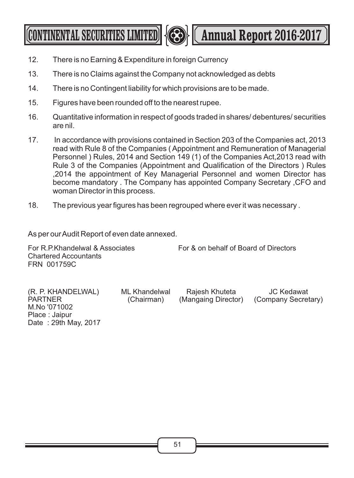**CONTINENTAL SECURITIES LIMITED <b>Annual Report 2016-2017** 



- 13. There is no Claims against the Company not acknowledged as debts
- 14. There is no Contingent liability for which provisions are to be made.
- 15. Figures have been rounded off to the nearest rupee.
- 16. Quantitative information in respect of goods traded in shares/ debentures/ securities are nil.
- 17. In accordance with provisions contained in Section 203 of the Companies act, 2013 read with Rule 8 of the Companies ( Appointment and Remuneration of Managerial Personnel ) Rules, 2014 and Section 149 (1) of the Companies Act,2013 read with Rule 3 of the Companies (Appointment and Qualification of the Directors ) Rules ,2014 the appointment of Key Managerial Personnel and women Director has become mandatory . The Company has appointed Company Secretary ,CFO and woman Director in this process.
- 18. The previous year figures has been regrouped where ever it was necessary .

As per our Audit Report of even date annexed.

For R.P.Khandelwal & Associates For & on behalf of Board of Directors Chartered Accountants FRN 001759C

(R. P. KHANDELWAL) ML Khandelwal Rajesh Khuteta JC Kedawat M.No '071002 Place : Jaipur Date : 29th May, 2017

(Chairman) (Mangaing Director) (Company Secretary)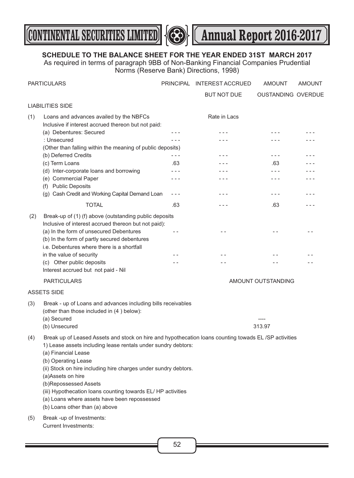



### **SCHEDULE TO THE BALANCE SHEET FOR THE YEAR ENDED 31ST MARCH 2017**

As required in terms of paragraph 9BB of Non-Banking Financial Companies Prudential Norms (Reserve Bank) Directions, 1998)

|     | <b>PARTICULARS</b>                                                                                                                                                                                                                                                                                                                                                                                                                                                                    |         | PRINCIPAL INTEREST ACCRUED | AMOUNT                    | <b>AMOUNT</b> |
|-----|---------------------------------------------------------------------------------------------------------------------------------------------------------------------------------------------------------------------------------------------------------------------------------------------------------------------------------------------------------------------------------------------------------------------------------------------------------------------------------------|---------|----------------------------|---------------------------|---------------|
|     |                                                                                                                                                                                                                                                                                                                                                                                                                                                                                       |         | <b>BUT NOT DUE</b>         | <b>OUSTANDING OVERDUE</b> |               |
|     | <b>LIABILITIES SIDE</b>                                                                                                                                                                                                                                                                                                                                                                                                                                                               |         |                            |                           |               |
| (1) | Loans and advances availed by the NBFCs<br>Inclusive if interest accrued thereon but not paid:                                                                                                                                                                                                                                                                                                                                                                                        |         | Rate in Lacs               |                           |               |
|     | (a) Debentures: Secured                                                                                                                                                                                                                                                                                                                                                                                                                                                               | - - -   | $- - -$                    | $- - -$                   | - - -         |
|     | : Unsecured                                                                                                                                                                                                                                                                                                                                                                                                                                                                           |         | $- - -$                    | $- - -$                   |               |
|     | (Other than falling within the meaning of public deposits)                                                                                                                                                                                                                                                                                                                                                                                                                            |         |                            |                           |               |
|     | (b) Deferred Credits                                                                                                                                                                                                                                                                                                                                                                                                                                                                  | $- - -$ |                            | - - -                     |               |
|     | (c) Term Loans                                                                                                                                                                                                                                                                                                                                                                                                                                                                        | .63     | - - -                      | .63                       |               |
|     | (d) Inter-corporate loans and borrowing                                                                                                                                                                                                                                                                                                                                                                                                                                               | - - -   | - - -                      | $- - -$                   |               |
|     | (e) Commercial Paper                                                                                                                                                                                                                                                                                                                                                                                                                                                                  | - - -   | - - -                      | $- - -$                   |               |
|     | (f) Public Deposits                                                                                                                                                                                                                                                                                                                                                                                                                                                                   |         |                            | $- - -$                   |               |
|     | (g) Cash Credit and Working Capital Demand Loan                                                                                                                                                                                                                                                                                                                                                                                                                                       | $- - -$ | - - -                      |                           |               |
|     | <b>TOTAL</b>                                                                                                                                                                                                                                                                                                                                                                                                                                                                          | .63     | - - -                      | .63                       | - - -         |
| (2) | Break-up of (1) (f) above (outstanding public deposits<br>Inclusive of interest accrued thereon but not paid):<br>(a) In the form of unsecured Debentures                                                                                                                                                                                                                                                                                                                             | $ -$    | $ -$                       | $ -$                      | $ -$          |
|     | (b) In the form of partly secured debentures<br>i.e. Debentures where there is a shortfall                                                                                                                                                                                                                                                                                                                                                                                            |         |                            |                           |               |
|     | in the value of security                                                                                                                                                                                                                                                                                                                                                                                                                                                              | - -     | $ -$                       |                           |               |
|     | (c) Other public deposits                                                                                                                                                                                                                                                                                                                                                                                                                                                             |         |                            |                           |               |
|     | Interest accrued but not paid - Nil                                                                                                                                                                                                                                                                                                                                                                                                                                                   |         |                            |                           |               |
|     | <b>PARTICULARS</b>                                                                                                                                                                                                                                                                                                                                                                                                                                                                    |         |                            | AMOUNT OUTSTANDING        |               |
|     | <b>ASSETS SIDE</b>                                                                                                                                                                                                                                                                                                                                                                                                                                                                    |         |                            |                           |               |
| (3) | Break - up of Loans and advances including bills receivables<br>(other than those included in (4) below):<br>(a) Secured                                                                                                                                                                                                                                                                                                                                                              |         |                            |                           |               |
|     | (b) Unsecured                                                                                                                                                                                                                                                                                                                                                                                                                                                                         |         |                            | 313.97                    |               |
| (4) | Break up of Leased Assets and stock on hire and hypothecation loans counting towads EL/SP activities<br>1) Lease assets including lease rentals under sundry debtors:<br>(a) Financial Lease<br>(b) Operating Lease<br>(ii) Stock on hire including hire charges under sundry debtors.<br>(a)Assets on hire<br>(b)Repossessed Assets<br>(iii) Hypothecation loans counting towards EL/HP activities<br>(a) Loans where assets have been repossessed<br>(b) Loans other than (a) above |         |                            |                           |               |
| (5) | Break -up of Investments:<br><b>Current Investments:</b>                                                                                                                                                                                                                                                                                                                                                                                                                              |         |                            |                           |               |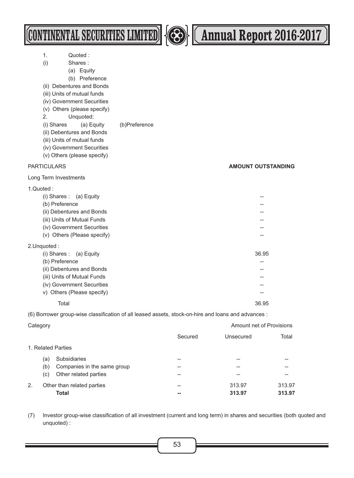|                                | (CONTINENTAL SECURITIES LIMITED)                                                                                                                                                                                                                                                                                                |               |         |           | Annual Report 2016-2017   |  |
|--------------------------------|---------------------------------------------------------------------------------------------------------------------------------------------------------------------------------------------------------------------------------------------------------------------------------------------------------------------------------|---------------|---------|-----------|---------------------------|--|
| 1.<br>(i)<br>2.<br>(i) Shares  | Quoted:<br>Shares:<br>(a) Equity<br>(b) Preference<br>(ii) Debentures and Bonds<br>(iii) Units of mutual funds<br>(iv) Government Securities<br>(v) Others (please specify)<br>Unquoted:<br>(a) Equity<br>(ii) Debentures and Bonds<br>(iii) Units of mutual funds<br>(iv) Government Securities<br>(v) Others (please specify) | (b)Preference |         |           |                           |  |
| <b>PARTICULARS</b>             |                                                                                                                                                                                                                                                                                                                                 |               |         |           | <b>AMOUNT OUTSTANDING</b> |  |
| Long Term Investments          |                                                                                                                                                                                                                                                                                                                                 |               |         |           |                           |  |
| 1.Quoted:<br>(b) Preference    | $(i)$ Shares: $(a)$ Equity<br>(ii) Debentures and Bonds<br>(iii) Units of Mutual Funds<br>(iv) Government Securities<br>(v) Others (Please specify)                                                                                                                                                                             |               |         |           |                           |  |
| 2. Unquoted:<br>(b) Preference | $(i)$ Shares: $(a)$ Equity<br>(ii) Debentures and Bonds<br>(iii) Units of Mutual Funds<br>(iv) Government Securities<br>v) Others (Please specify)                                                                                                                                                                              |               |         |           | 36.95<br>--               |  |
| Total                          |                                                                                                                                                                                                                                                                                                                                 |               |         |           | 36.95                     |  |
|                                | (6) Borrower group-wise classification of all leased assets, stock-on-hire and loans and advances :                                                                                                                                                                                                                             |               |         |           |                           |  |
| Category                       |                                                                                                                                                                                                                                                                                                                                 |               |         |           | Amount net of Provisions  |  |
|                                |                                                                                                                                                                                                                                                                                                                                 |               | Secured | Unsecured | Total                     |  |
| 1. Related Parties             |                                                                                                                                                                                                                                                                                                                                 |               |         |           |                           |  |
| (a)<br>(b)                     | <b>Subsidiaries</b><br>Companies in the same group                                                                                                                                                                                                                                                                              |               |         |           |                           |  |

2. Other than related parties **120 and 1213.97** 313.97 313.97 **Total -- 313.97 313.97**

(7) Investor group-wise classification of all investment (current and long term) in shares and securities (both quoted and unquoted) :

(c) Other related parties -- -- --

Ξ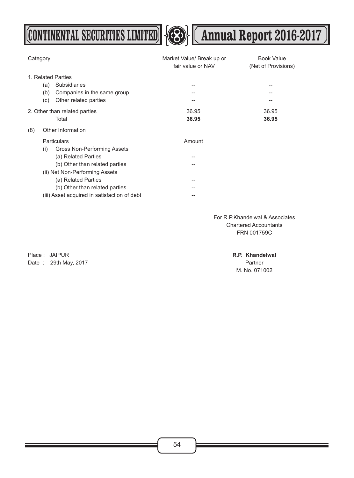**CONTINENTAL SECURITIES LIMITED 43 (Annual Report 2016-2017**)



| Category |     |                                              | Market Value/ Break up or<br>fair value or NAV | <b>Book Value</b><br>(Net of Provisions) |
|----------|-----|----------------------------------------------|------------------------------------------------|------------------------------------------|
|          |     | 1. Related Parties                           |                                                |                                          |
|          | (a) | Subsidiaries                                 |                                                | --                                       |
|          | (b) | Companies in the same group                  |                                                |                                          |
|          | (c) | Other related parties                        |                                                |                                          |
|          |     | 2. Other than related parties                | 36.95                                          | 36.95                                    |
|          |     | Total                                        | 36.95                                          | 36.95                                    |
| (8)      |     | Other Information                            |                                                |                                          |
|          |     | Particulars                                  | Amount                                         |                                          |
|          | (i) | Gross Non-Performing Assets                  |                                                |                                          |
|          |     | (a) Related Parties                          |                                                |                                          |
|          |     | (b) Other than related parties               |                                                |                                          |
|          |     | (ii) Net Non-Performing Assets               |                                                |                                          |
|          |     | (a) Related Parties                          |                                                |                                          |
|          |     | (b) Other than related parties               |                                                |                                          |
|          |     | (iii) Asset acquired in satisfaction of debt |                                                |                                          |

For R.P.Khandelwal & Associates Chartered Accountants FRN 001759C

Place : JAIPUR **R.P. Khandelwal** Date : 29th May, 2017 **Partner** Partner Number 2018 12:00 12:00 Partner

M. No. 071002

54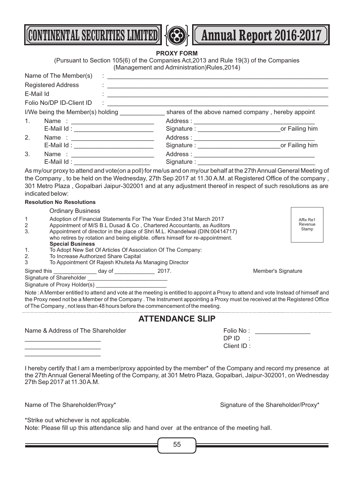



**CONTINENTAL SECURITIES LIMITED <b>A Annual Report 2016-2017** 

**PROXY FORM**

(Pursuant to Section 105(6) of the Companies Act,2013 and Rule 19(3) of the Companies (Management and Administration)Rules,2014)

|    | Name of The Member(s)                 |                                                |             |                                                   |
|----|---------------------------------------|------------------------------------------------|-------------|---------------------------------------------------|
|    | <b>Registered Address</b>             | $\mathbb{C}$ and $\mathbb{C}$ and $\mathbb{C}$ |             |                                                   |
|    | E-Mail Id                             |                                                |             |                                                   |
|    | Folio No/DP ID-Client ID              | the company of the company of                  |             |                                                   |
|    | I/We being the Member(s) holding      |                                                |             | shares of the above named company, hereby appoint |
| 1. |                                       |                                                |             |                                                   |
|    |                                       |                                                |             |                                                   |
| 2. |                                       |                                                |             |                                                   |
|    | E-Mail Id: __________________________ |                                                |             |                                                   |
| 3. |                                       |                                                |             |                                                   |
|    | E-Mail Id:                            |                                                | Signature : |                                                   |

As my/our proxy to attend and vote(on a poll) for me/us and on my/our behalf at the 27th Annual General Meeting of the Company , to be held on the Wednesday, 27th Sep 2017 at 11.30 A.M. at Registered Office of the company , 301 Metro Plaza , Gopalbari Jaipur-302001 and at any adjustment thereof in respect of such resolutions as are indicated below:

### **Resolution No Resolutions**

### Ordinary Business

- 1 Adoption of Financial Statements For The Year Ended 31st March 2017<br>2 Appointment of M/S B L Dusad & Co. Chartered Accountants, as Audito
- 2 Appointment of M/S B.L Dusad & Co, Chartered Accountants, as Auditors<br>3. Appointment of director in the place of Shri M.L. Khandelwal (DIN:0041471 Appointment of director in the place of Shri M.L. Khandelwal (DIN:00414717) who retires by rotation and being eligible. offers himself for re-appointment.

Affix Re1 Revenue Stamp

- **Special Business** 1. To Adopt New Set Of Articles Of Association Of The Company:
- 2. To Increase Authorized Share Capital
- 3 To Appointment Of Rajesh Khuteta As Managing Director

Signed this \_\_\_\_\_\_\_\_\_\_\_\_\_\_\_\_ day of \_\_\_\_\_\_\_\_\_\_\_\_\_\_\_ 2017. 
<br>
2017.

Signature of Shareholder Signature of Proxy Holder(s)

 $\overline{\phantom{a}}$  , where  $\overline{\phantom{a}}$  , where  $\overline{\phantom{a}}$  , where  $\overline{\phantom{a}}$ 

Note : A Member entitled to attend and vote at the meeting is entitled to appoint a Proxy to attend and vote Instead of himself and the Proxy need not be a Member of the Company . The Instrument appointing a Proxy must be received at the Registered Office of The Company , not less than 48 hours before the commencement of the meeting.

### **ATTENDANCE SLIP**

| Name & Address of The Shareholder | Folio No : |
|-----------------------------------|------------|
|                                   | DPID:      |
|                                   | Client ID: |

I hereby certify that I am a member/proxy appointed by the member\* of the Company and record my presence at the 27th Annual General Meeting of the Company, at 301 Metro Plaza, Gopalbari, Jaipur-302001, on Wednesday 27th Sep 2017 at 11.30 A.M.

Name of The Shareholder/Proxy\* The Shareholder/Proxy\* Signature of the Shareholder/Proxy\*

\*Strike out whichever is not applicable.

Note: Please fill up this attendance slip and hand over at the entrance of the meeting hall.

55